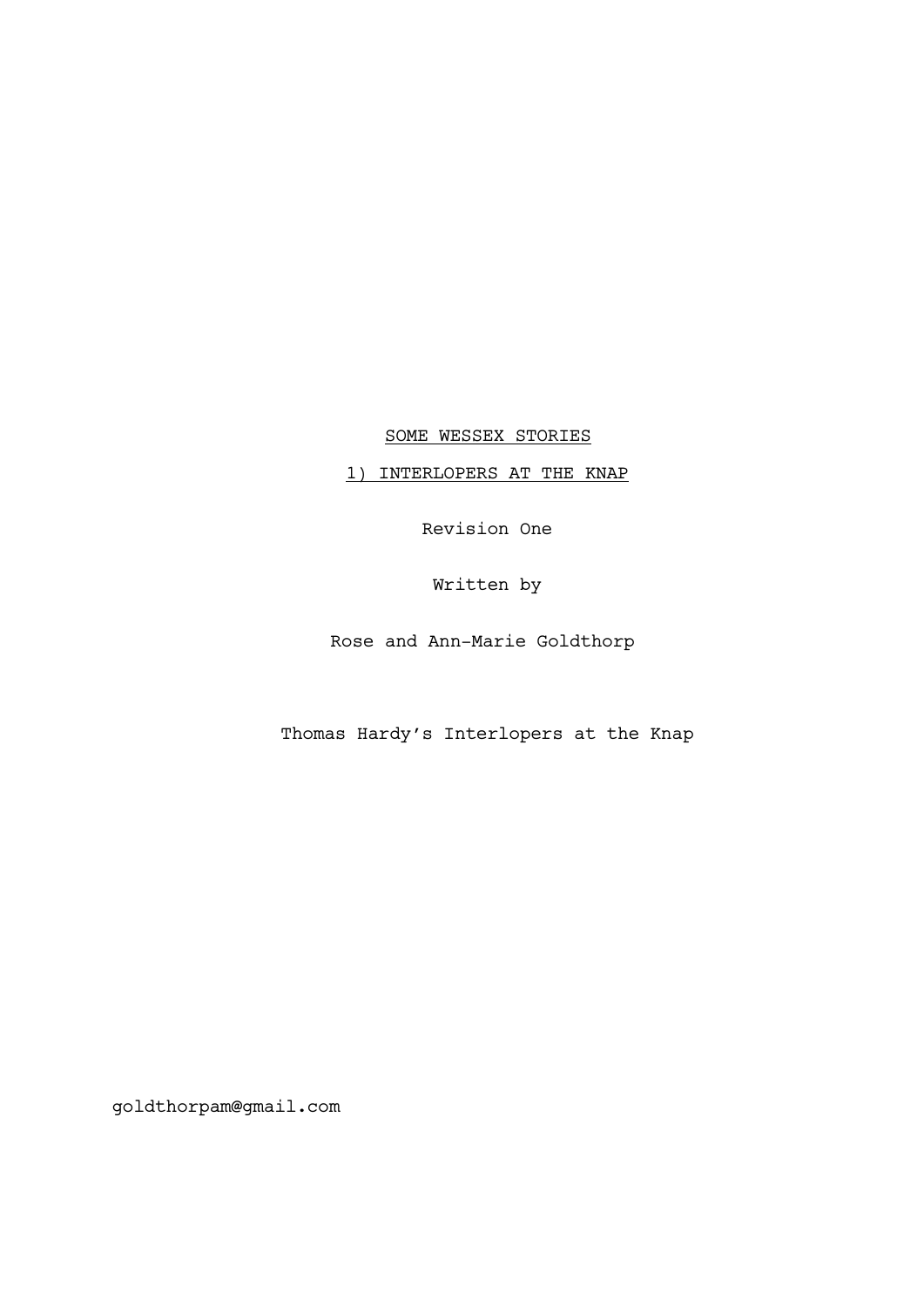SOME WESSEX STORIES

1) INTERLOPERS AT THE KNAP

Revision One

Written by

Rose and Ann-Marie Goldthorp

Thomas Hardy's Interlopers at the Knap

goldthorpam@gmail.com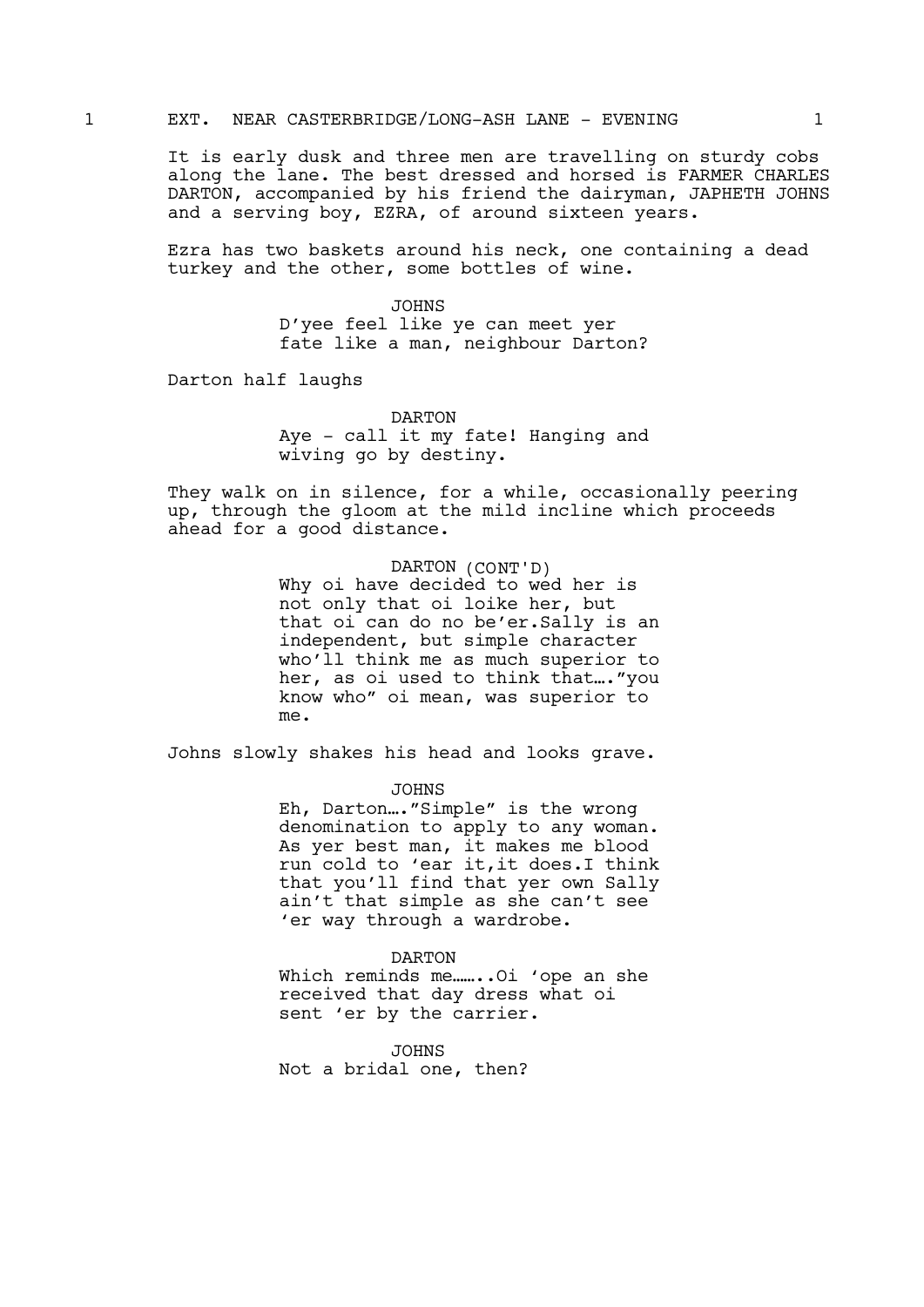### 1 EXT. NEAR CASTERBRIDGE/LONG-ASH LANE - EVENING 1

It is early dusk and three men are travelling on sturdy cobs along the lane. The best dressed and horsed is FARMER CHARLES DARTON, accompanied by his friend the dairyman, JAPHETH JOHNS and a serving boy, EZRA, of around sixteen years.

Ezra has two baskets around his neck, one containing a dead turkey and the other, some bottles of wine.

> JOHNS D'yee feel like ye can meet yer fate like a man, neighbour Darton?

Darton half laughs

DARTON Aye - call it my fate! Hanging and wiving go by destiny.

They walk on in silence, for a while, occasionally peering up, through the gloom at the mild incline which proceeds ahead for a good distance.

> DARTON (CONT'D) Why oi have decided to wed her is not only that oi loike her, but that oi can do no be'er.Sally is an independent, but simple character who'll think me as much superior to her, as oi used to think that…."you know who" oi mean, was superior to me.

Johns slowly shakes his head and looks grave.

JOHNS

Eh, Darton…."Simple" is the wrong denomination to apply to any woman. As yer best man, it makes me blood run cold to 'ear it,it does.I think that you'll find that yer own Sally ain't that simple as she can't see 'er way through a wardrobe.

#### DARTON

Which reminds me........Oi 'ope an she received that day dress what oi sent 'er by the carrier.

JOHNS Not a bridal one, then?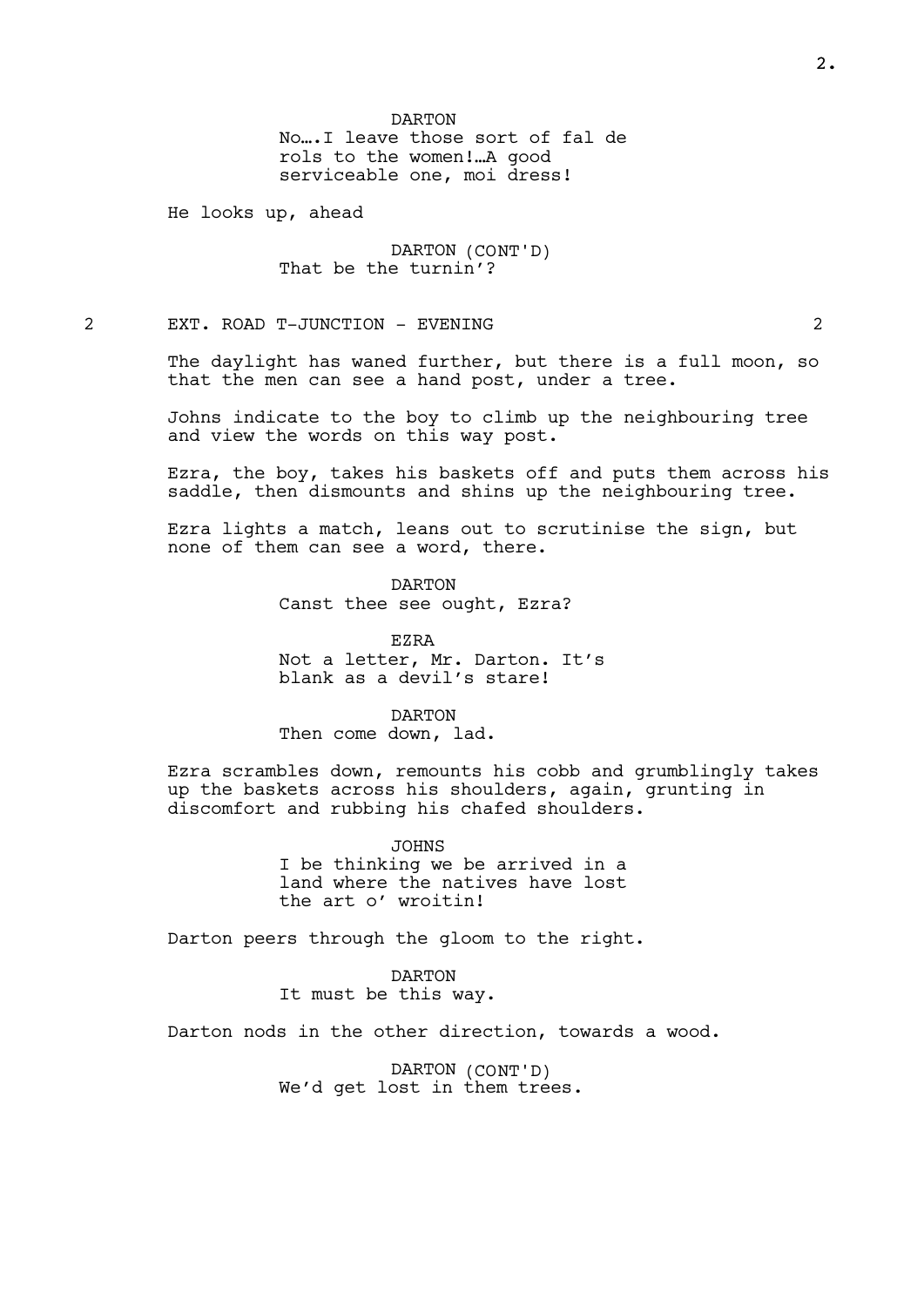DARTON No….I leave those sort of fal de rols to the women!…A good serviceable one, moi dress!

He looks up, ahead

DARTON (CONT'D) That be the turnin'?

2 EXT. ROAD T-JUNCTION - EVENING 2

The daylight has waned further, but there is a full moon, so that the men can see a hand post, under a tree.

Johns indicate to the boy to climb up the neighbouring tree and view the words on this way post.

Ezra, the boy, takes his baskets off and puts them across his saddle, then dismounts and shins up the neighbouring tree.

Ezra lights a match, leans out to scrutinise the sign, but none of them can see a word, there.

> DARTON Canst thee see ought, Ezra?

EZRA Not a letter, Mr. Darton. It's blank as a devil's stare!

DARTON Then come down, lad.

Ezra scrambles down, remounts his cobb and grumblingly takes up the baskets across his shoulders, again, grunting in discomfort and rubbing his chafed shoulders.

> JOHNS I be thinking we be arrived in a land where the natives have lost the art o' wroitin!

Darton peers through the gloom to the right.

DARTON It must be this way.

Darton nods in the other direction, towards a wood.

DARTON (CONT'D) We'd get lost in them trees.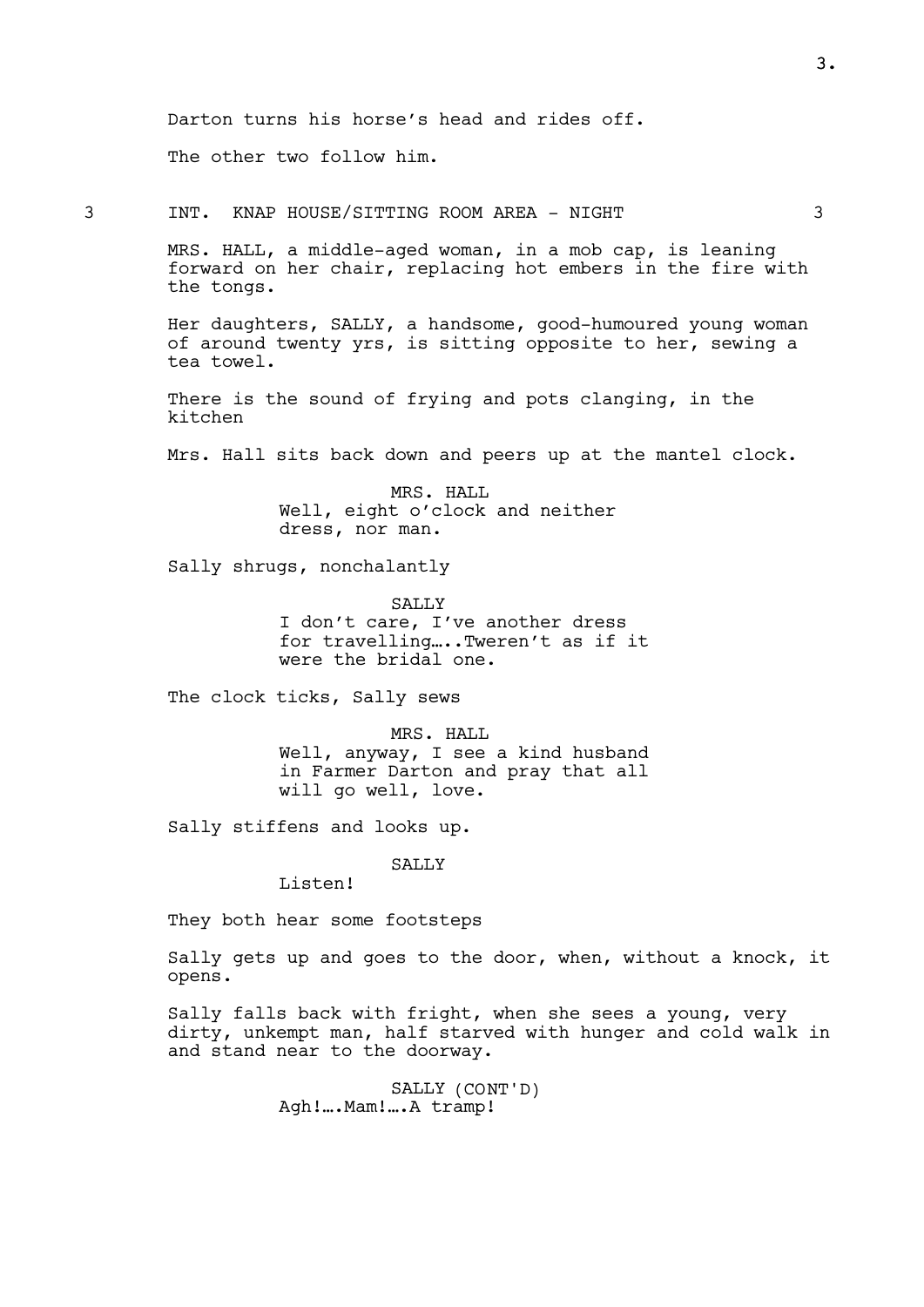Darton turns his horse's head and rides off.

The other two follow him.

3 INT. KNAP HOUSE/SITTING ROOM AREA - NIGHT 3

MRS. HALL, a middle-aged woman, in a mob cap, is leaning forward on her chair, replacing hot embers in the fire with the tongs.

Her daughters, SALLY, a handsome, good-humoured young woman of around twenty yrs, is sitting opposite to her, sewing a tea towel.

There is the sound of frying and pots clanging, in the kitchen

Mrs. Hall sits back down and peers up at the mantel clock.

MRS. HALL Well, eight o'clock and neither dress, nor man.

Sally shrugs, nonchalantly

SALLY I don't care, I've another dress for travelling…..Tweren't as if it were the bridal one.

The clock ticks, Sally sews

MRS. HALL Well, anyway, I see a kind husband in Farmer Darton and pray that all will go well, love.

Sally stiffens and looks up.

SALLY

Listen!

They both hear some footsteps

Sally gets up and goes to the door, when, without a knock, it opens.

Sally falls back with fright, when she sees a young, very dirty, unkempt man, half starved with hunger and cold walk in and stand near to the doorway.

> SALLY (CONT'D) Agh!….Mam!….A tramp!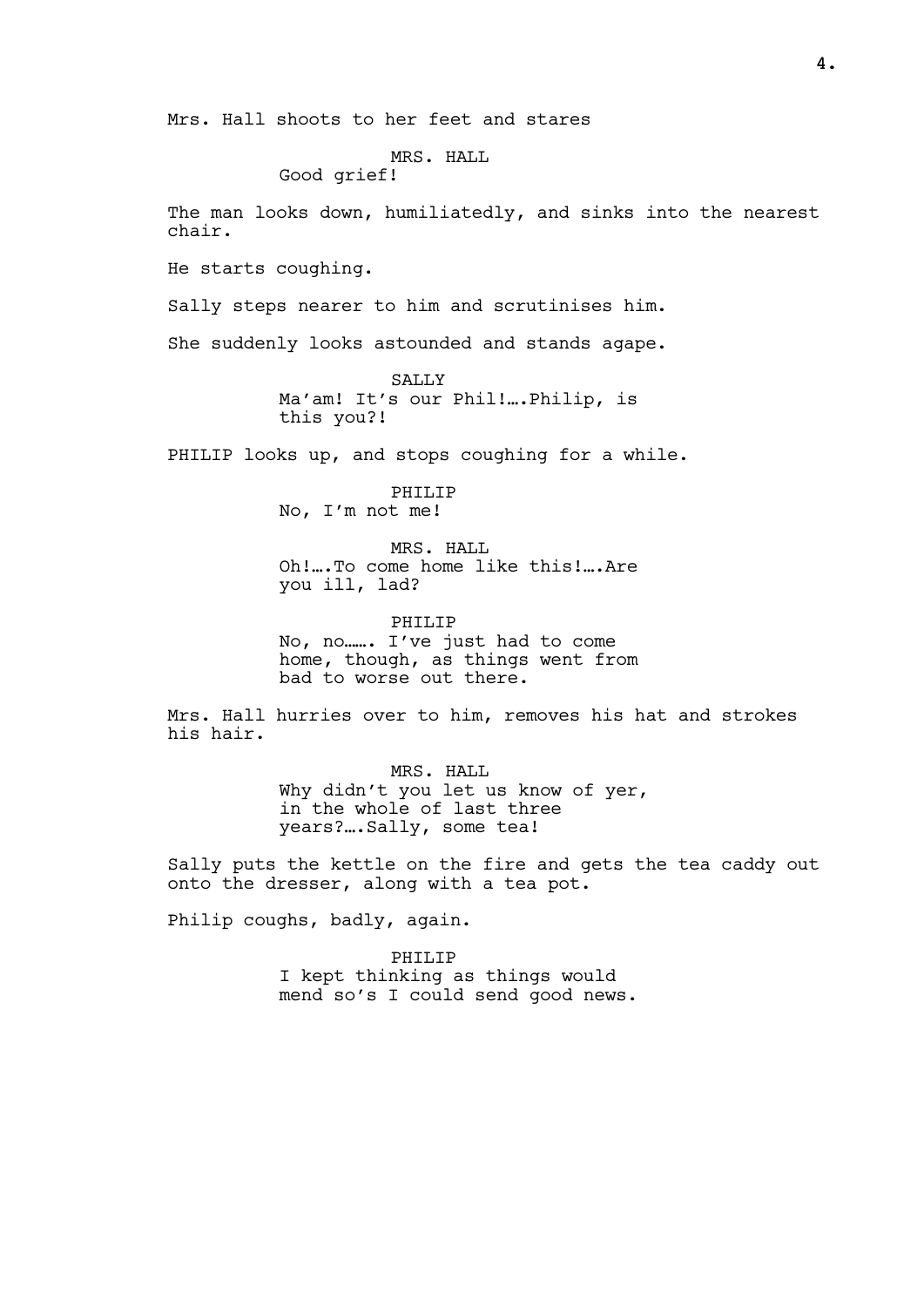Mrs. Hall shoots to her feet and stares

MRS. HALL

Good grief!

The man looks down, humiliatedly, and sinks into the nearest chair.

He starts coughing.

Sally steps nearer to him and scrutinises him.

She suddenly looks astounded and stands agape.

SALLY Ma'am! It's our Phil!….Philip, is this you?!

PHILIP looks up, and stops coughing for a while.

PHILIP No, I'm not me!

MRS. HALL Oh!….To come home like this!….Are you ill, lad?

PHILIP No, no……. I've just had to come home, though, as things went from bad to worse out there.

Mrs. Hall hurries over to him, removes his hat and strokes his hair.

> MRS. HALL Why didn't you let us know of yer, in the whole of last three years?….Sally, some tea!

Sally puts the kettle on the fire and gets the tea caddy out onto the dresser, along with a tea pot.

Philip coughs, badly, again.

PHILIP I kept thinking as things would mend so's I could send good news.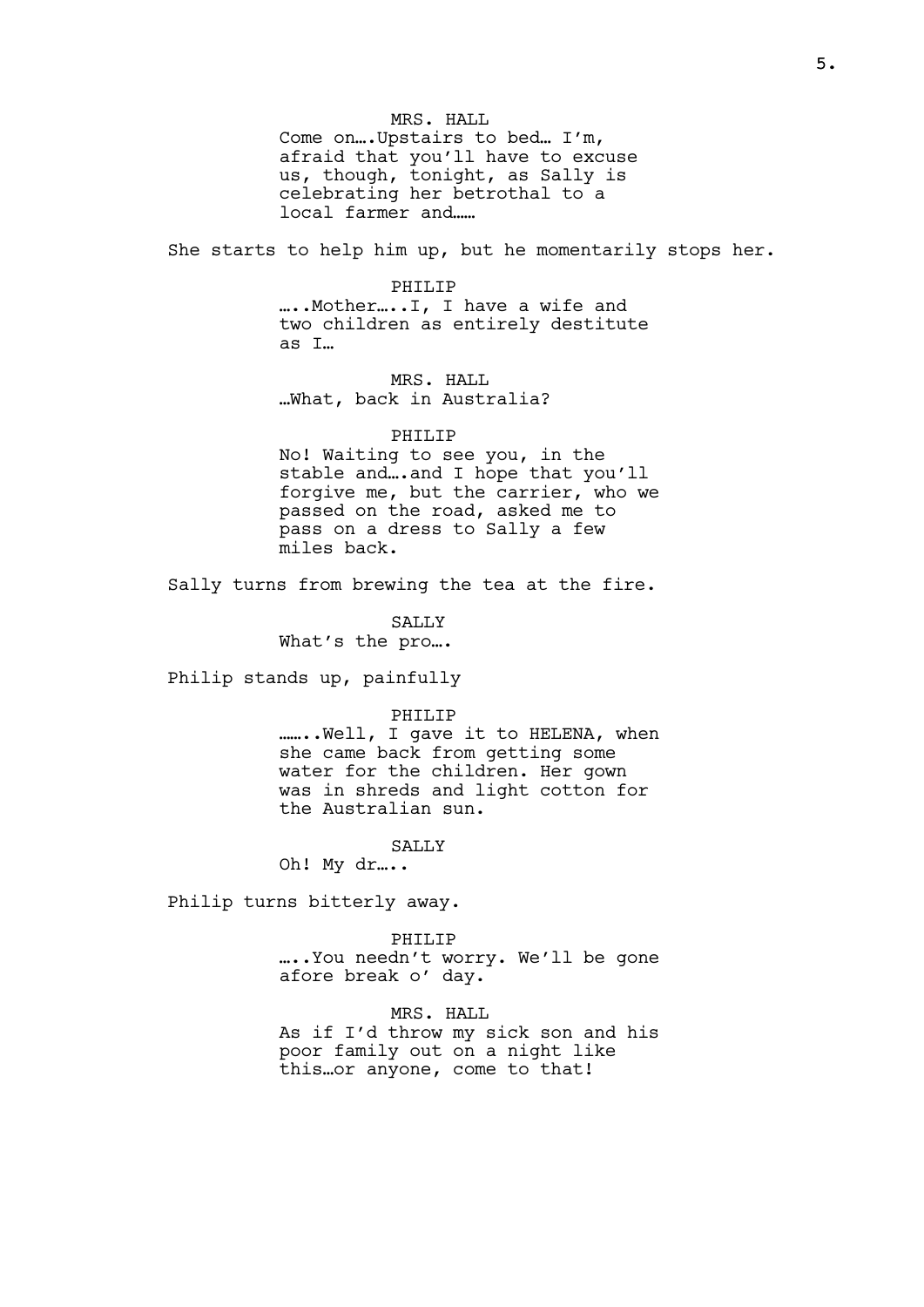MRS. HALL Come on….Upstairs to bed… I'm, afraid that you'll have to excuse us, though, tonight, as Sally is celebrating her betrothal to a local farmer and……

She starts to help him up, but he momentarily stops her.

#### PHILIP

…..Mother…..I, I have a wife and two children as entirely destitute as I…

MRS. HALL …What, back in Australia?

#### PHILIP

No! Waiting to see you, in the stable and….and I hope that you'll forgive me, but the carrier, who we passed on the road, asked me to pass on a dress to Sally a few miles back.

Sally turns from brewing the tea at the fire.

SALLY

What's the pro….

Philip stands up, painfully

#### PHILIP

........Well, I gave it to HELENA, when she came back from getting some water for the children. Her gown was in shreds and light cotton for the Australian sun.

SALLY

Oh! My dr…..

Philip turns bitterly away.

PHILIP

…..You needn't worry. We'll be gone afore break o' day.

MRS. HALL As if I'd throw my sick son and his poor family out on a night like this…or anyone, come to that!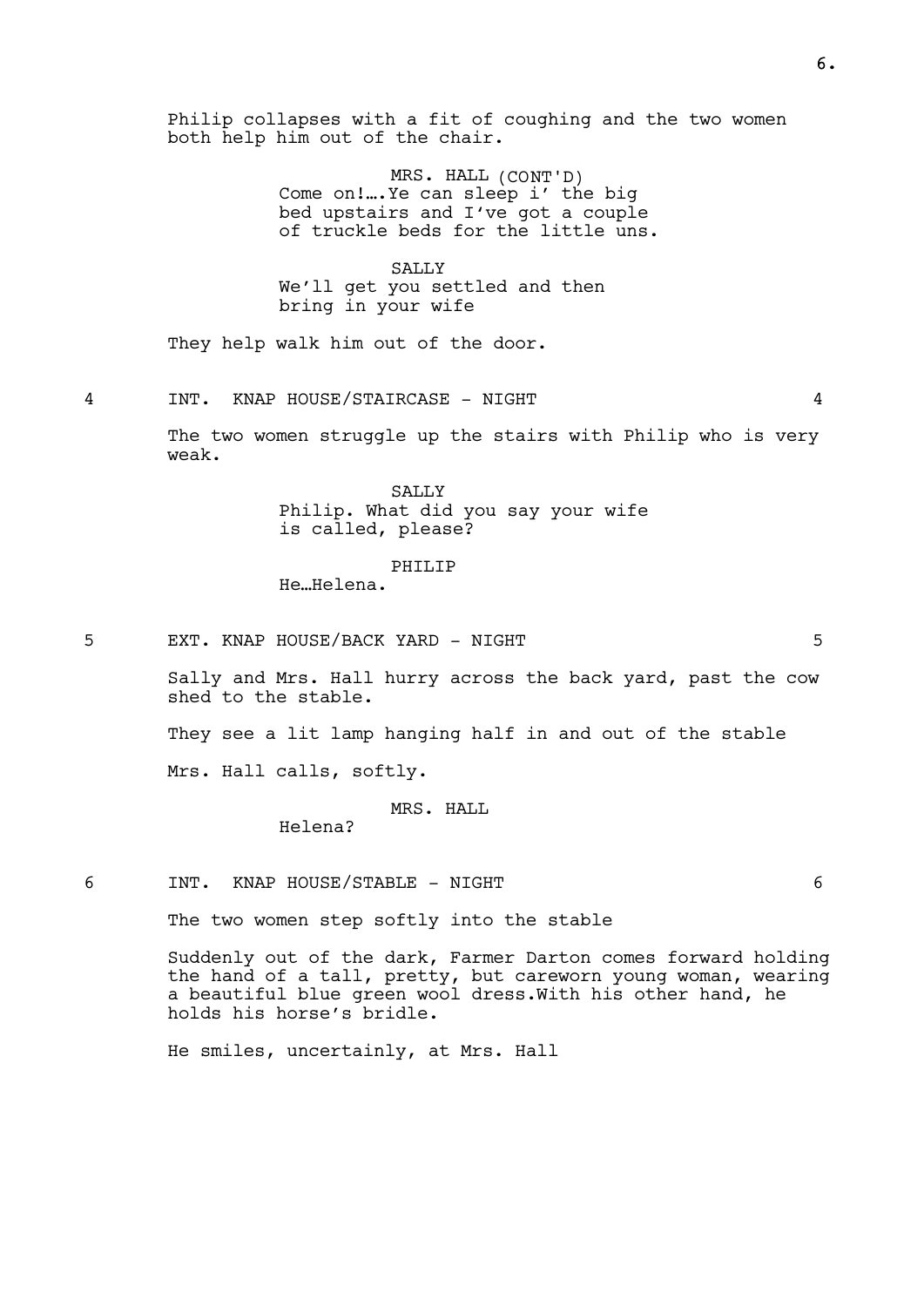Philip collapses with a fit of coughing and the two women both help him out of the chair.

> MRS. HALL (CONT'D) Come on!….Ye can sleep i' the big bed upstairs and I've got a couple of truckle beds for the little uns.

SALLY We'll get you settled and then bring in your wife

They help walk him out of the door.

4 INT. KNAP HOUSE/STAIRCASE - NIGHT 4

The two women struggle up the stairs with Philip who is very weak.

> **SALLY** Philip. What did you say your wife is called, please?

> > PHILIP

He…Helena.

5 EXT. KNAP HOUSE/BACK YARD - NIGHT 5

Sally and Mrs. Hall hurry across the back yard, past the cow shed to the stable.

They see a lit lamp hanging half in and out of the stable

Mrs. Hall calls, softly.

### MRS. HALL

Helena?

6 INT. KNAP HOUSE/STABLE - NIGHT 6

The two women step softly into the stable

Suddenly out of the dark, Farmer Darton comes forward holding the hand of a tall, pretty, but careworn young woman, wearing a beautiful blue green wool dress.With his other hand, he holds his horse's bridle.

He smiles, uncertainly, at Mrs. Hall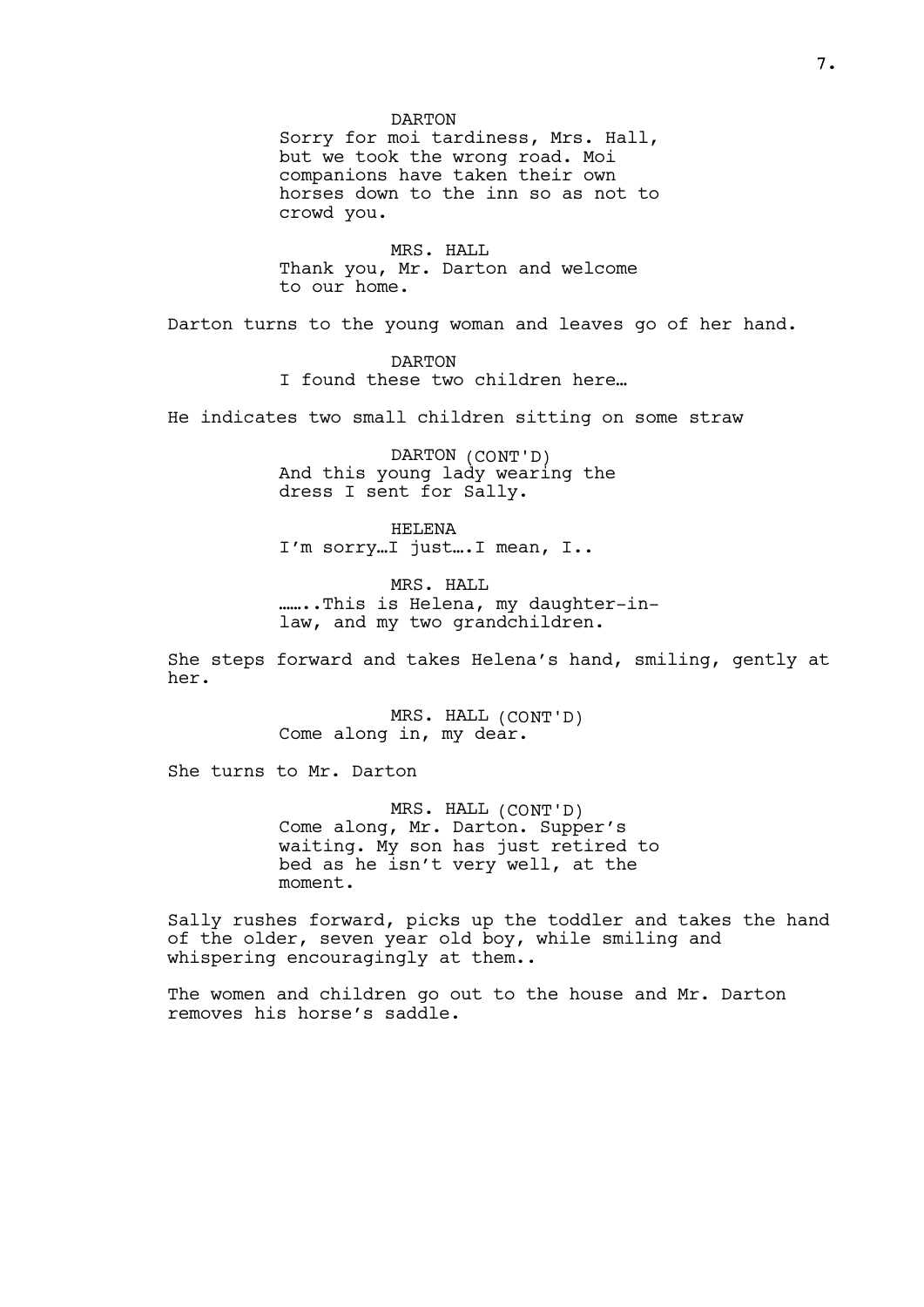DARTON Sorry for moi tardiness, Mrs. Hall, but we took the wrong road. Moi companions have taken their own horses down to the inn so as not to crowd you.

MRS. HALL Thank you, Mr. Darton and welcome to our home.

Darton turns to the young woman and leaves go of her hand.

DARTON I found these two children here…

He indicates two small children sitting on some straw

DARTON (CONT'D) And this young lady wearing the dress I sent for Sally.

HELENA I'm sorry…I just….I mean, I..

MRS. HALL .......This is Helena, my daughter-inlaw, and my two grandchildren.

She steps forward and takes Helena's hand, smiling, gently at her.

> MRS. HALL (CONT'D) Come along in, my dear.

She turns to Mr. Darton

MRS. HALL (CONT'D) Come along, Mr. Darton. Supper's waiting. My son has just retired to bed as he isn't very well, at the moment.

Sally rushes forward, picks up the toddler and takes the hand of the older, seven year old boy, while smiling and whispering encouragingly at them..

The women and children go out to the house and Mr. Darton removes his horse's saddle.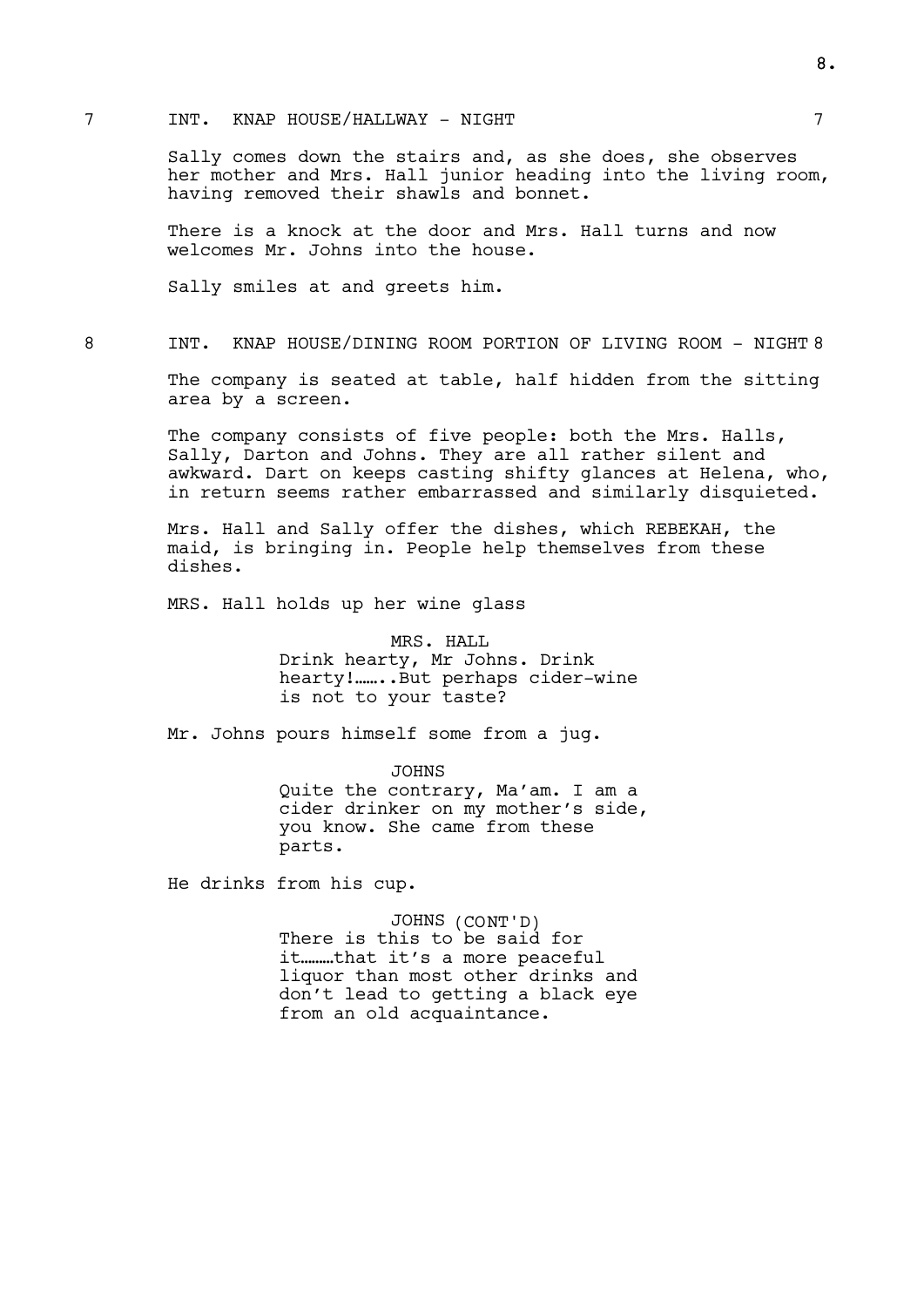### 7 INT. KNAP HOUSE/HALLWAY - NIGHT 7

Sally comes down the stairs and, as she does, she observes her mother and Mrs. Hall junior heading into the living room, having removed their shawls and bonnet.

There is a knock at the door and Mrs. Hall turns and now welcomes Mr. Johns into the house.

Sally smiles at and greets him.

8 INT. KNAP HOUSE/DINING ROOM PORTION OF LIVING ROOM - NIGHT 8

The company is seated at table, half hidden from the sitting area by a screen.

The company consists of five people: both the Mrs. Halls, Sally, Darton and Johns. They are all rather silent and awkward. Dart on keeps casting shifty glances at Helena, who, in return seems rather embarrassed and similarly disquieted.

Mrs. Hall and Sally offer the dishes, which REBEKAH, the maid, is bringing in. People help themselves from these dishes.

MRS. Hall holds up her wine glass

MRS. HALL Drink hearty, Mr Johns. Drink hearty!.......But perhaps cider-wine is not to your taste?

Mr. Johns pours himself some from a jug.

JOHNS Quite the contrary, Ma'am. I am a cider drinker on my mother's side, you know. She came from these parts.

He drinks from his cup.

JOHNS (CONT'D) There is this to be said for it………that it's a more peaceful liquor than most other drinks and don't lead to getting a black eye from an old acquaintance.

8.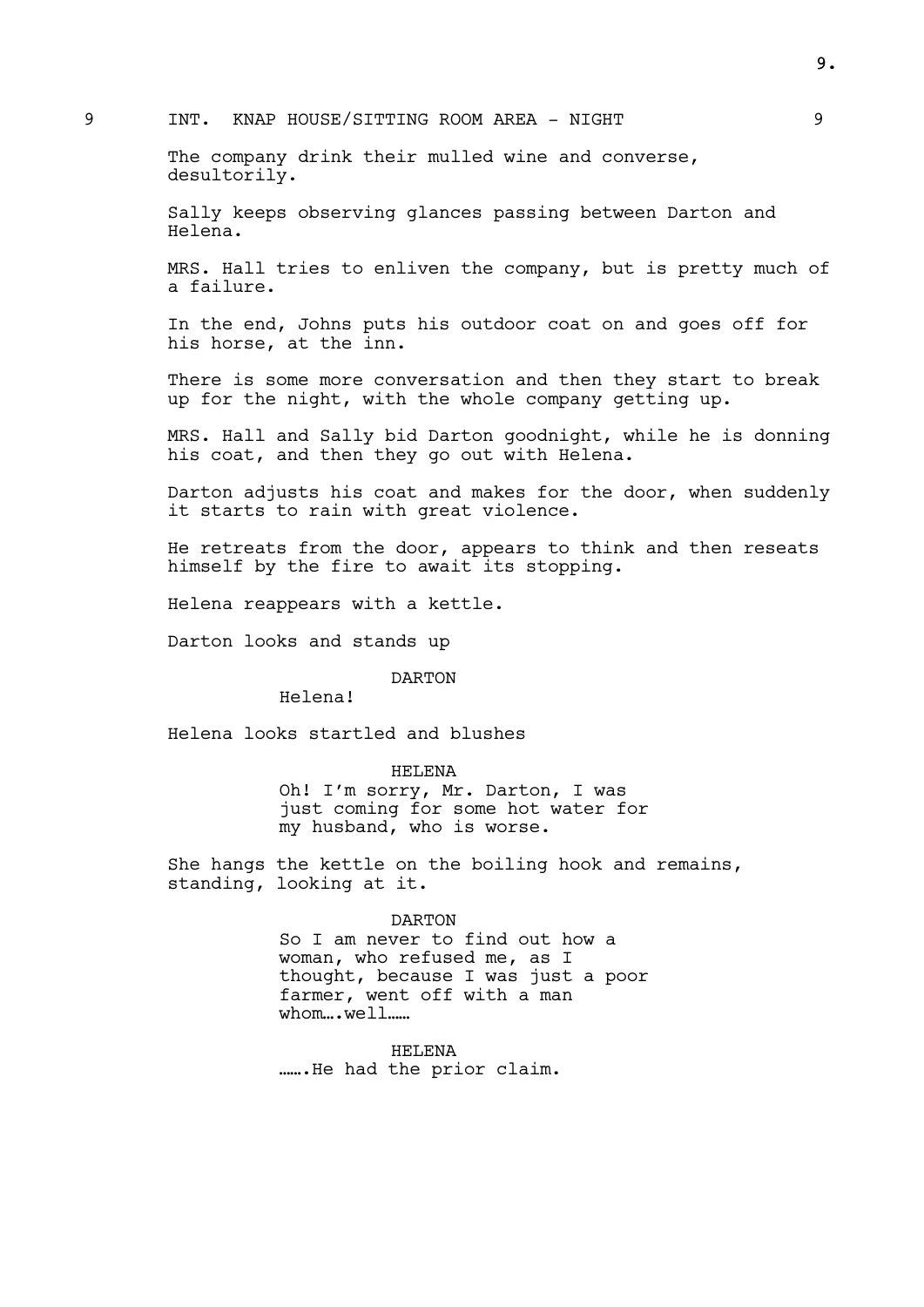### 9 INT. KNAP HOUSE/SITTING ROOM AREA - NIGHT

The company drink their mulled wine and converse, desultorily.

Sally keeps observing glances passing between Darton and Helena.

MRS. Hall tries to enliven the company, but is pretty much of a failure.

In the end, Johns puts his outdoor coat on and goes off for his horse, at the inn.

There is some more conversation and then they start to break up for the night, with the whole company getting up.

MRS. Hall and Sally bid Darton goodnight, while he is donning his coat, and then they go out with Helena.

Darton adjusts his coat and makes for the door, when suddenly it starts to rain with great violence.

He retreats from the door, appears to think and then reseats himself by the fire to await its stopping.

Helena reappears with a kettle.

Darton looks and stands up

DARTON

Helena!

Helena looks startled and blushes

HELENA

Oh! I'm sorry, Mr. Darton, I was just coming for some hot water for my husband, who is worse.

She hangs the kettle on the boiling hook and remains, standing, looking at it.

#### DARTON

So I am never to find out how a woman, who refused me, as I thought, because I was just a poor farmer, went off with a man whom...well......

HELENA …….He had the prior claim. 9.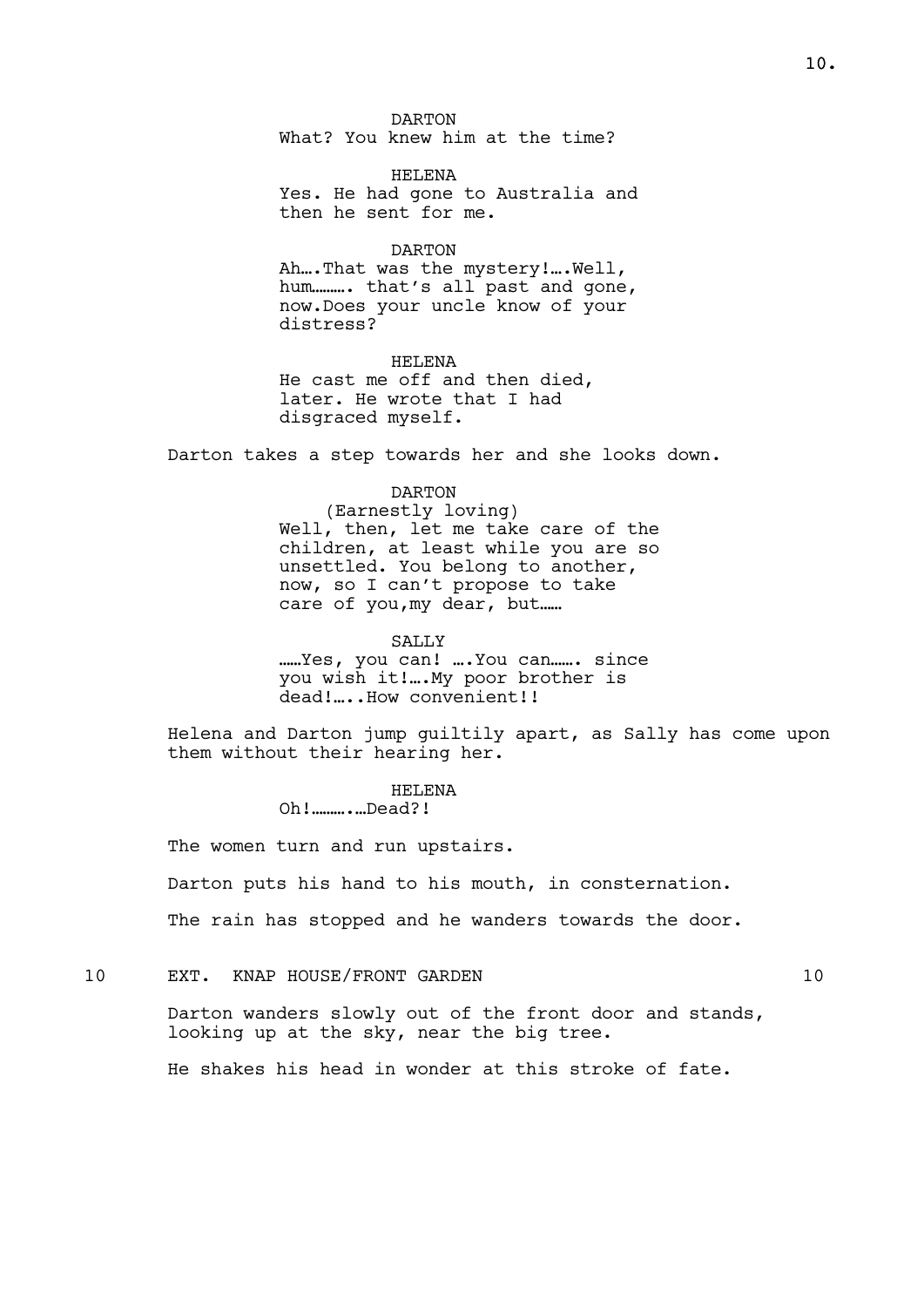DARTON What? You knew him at the time?

HELENA Yes. He had gone to Australia and then he sent for me.

### DARTON

Ah….That was the mystery!….Well, hum………. that's all past and gone, now.Does your uncle know of your distress?

HELENA He cast me off and then died, later. He wrote that I had disgraced myself.

Darton takes a step towards her and she looks down.

# DARTON

(Earnestly loving) Well, then, let me take care of the children, at least while you are so unsettled. You belong to another, now, so I can't propose to take care of you,my dear, but……

SALLY

……Yes, you can! ….You can……. since you wish it!….My poor brother is dead!....How convenient!!

Helena and Darton jump guiltily apart, as Sally has come upon them without their hearing her.

> HELENA Oh!……….…Dead?!

The women turn and run upstairs.

Darton puts his hand to his mouth, in consternation.

The rain has stopped and he wanders towards the door.

10 EXT. KNAP HOUSE/FRONT GARDEN 10

Darton wanders slowly out of the front door and stands, looking up at the sky, near the big tree.

He shakes his head in wonder at this stroke of fate.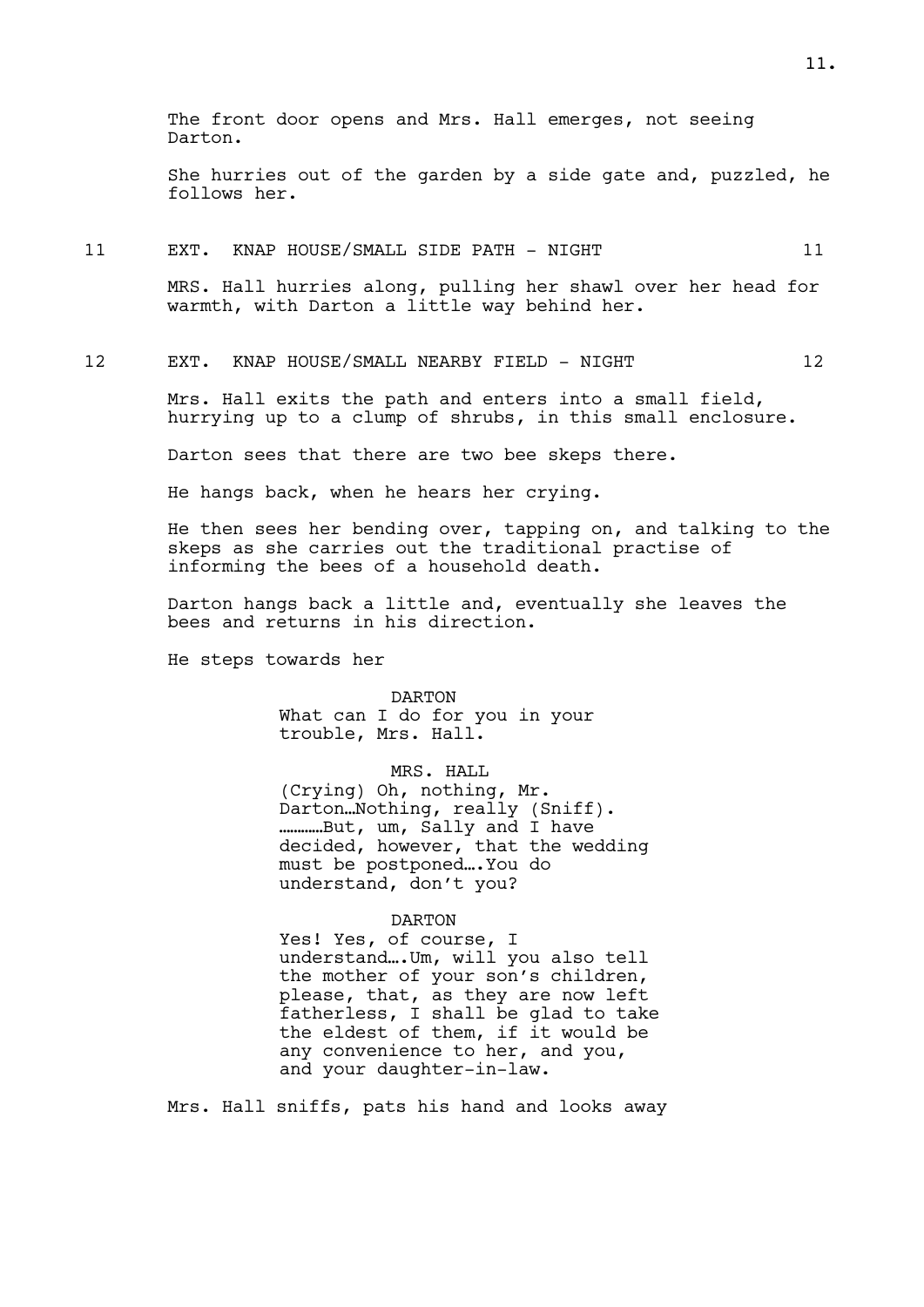The front door opens and Mrs. Hall emerges, not seeing Darton.

She hurries out of the garden by a side gate and, puzzled, he follows her.

#### 11 EXT. KNAP HOUSE/SMALL SIDE PATH - NIGHT 11

MRS. Hall hurries along, pulling her shawl over her head for warmth, with Darton a little way behind her.

#### 12 EXT. KNAP HOUSE/SMALL NEARBY FIELD - NIGHT 12

Mrs. Hall exits the path and enters into a small field, hurrying up to a clump of shrubs, in this small enclosure.

Darton sees that there are two bee skeps there.

He hangs back, when he hears her crying.

He then sees her bending over, tapping on, and talking to the skeps as she carries out the traditional practise of informing the bees of a household death.

Darton hangs back a little and, eventually she leaves the bees and returns in his direction.

He steps towards her

DARTON What can I do for you in your trouble, Mrs. Hall.

MRS. HALL (Crying) Oh, nothing, Mr. Darton…Nothing, really (Sniff). …………But, um, Sally and I have decided, however, that the wedding must be postponed….You do understand, don't you?

### DARTON

Yes! Yes, of course, I understand….Um, will you also tell the mother of your son's children, please, that, as they are now left fatherless, I shall be glad to take the eldest of them, if it would be any convenience to her, and you, and your daughter-in-law.

Mrs. Hall sniffs, pats his hand and looks away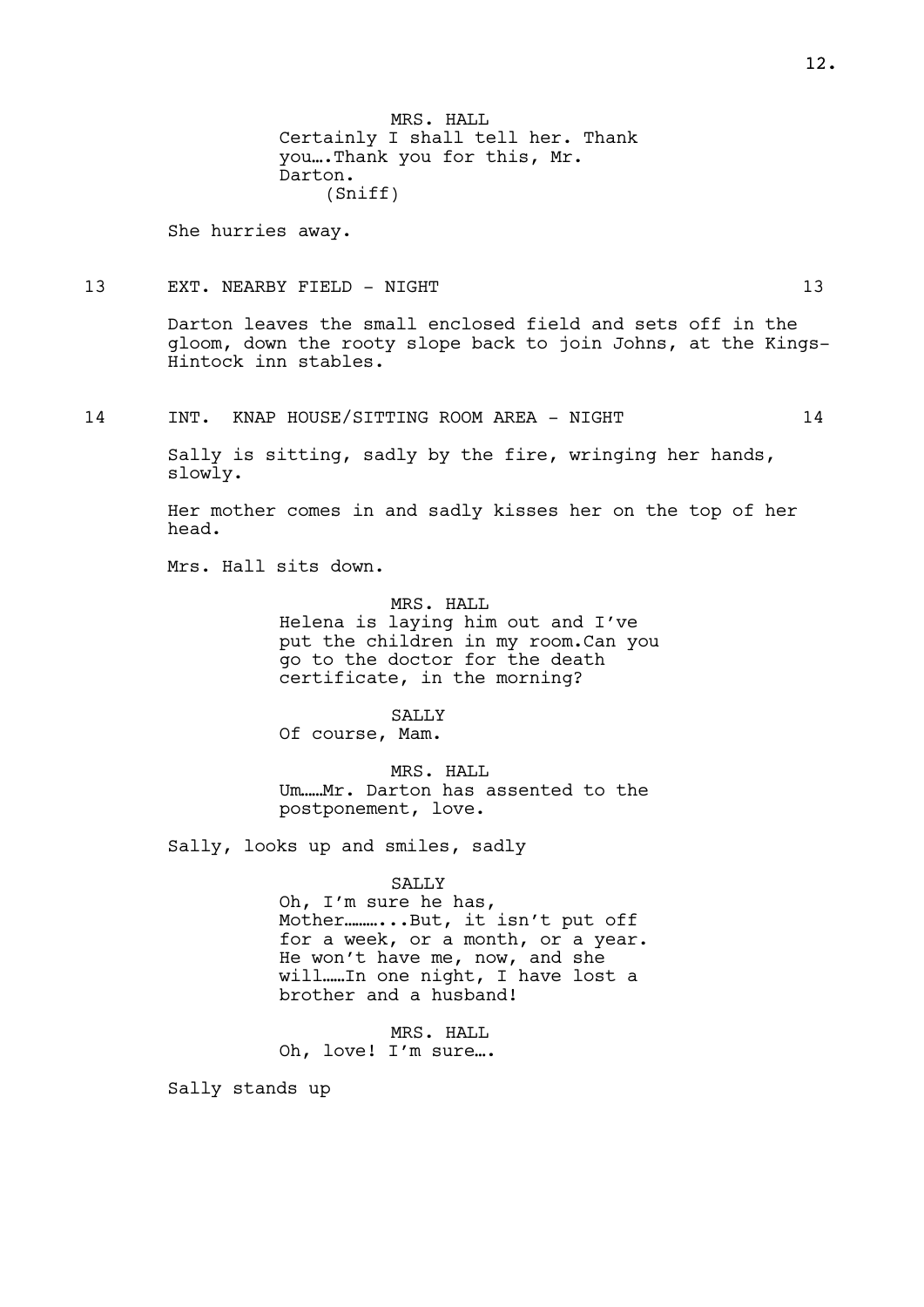MRS. HALL Certainly I shall tell her. Thank you….Thank you for this, Mr. Darton. (Sniff)

She hurries away.

### 13 EXT. NEARBY FIELD - NIGHT 13 13

Darton leaves the small enclosed field and sets off in the gloom, down the rooty slope back to join Johns, at the Kings-Hintock inn stables.

14 INT. KNAP HOUSE/SITTING ROOM AREA - NIGHT 14

Sally is sitting, sadly by the fire, wringing her hands, slowly.

Her mother comes in and sadly kisses her on the top of her head.

Mrs. Hall sits down.

MRS. HALL Helena is laying him out and I've put the children in my room.Can you go to the doctor for the death certificate, in the morning?

SALLY Of course, Mam.

MRS. HALL Um……Mr. Darton has assented to the postponement, love.

Sally, looks up and smiles, sadly

SALLY

Oh, I'm sure he has, Mother............But, it isn't put off for a week, or a month, or a year. He won't have me, now, and she will……In one night, I have lost a brother and a husband!

MRS. HALL Oh, love! I'm sure….

Sally stands up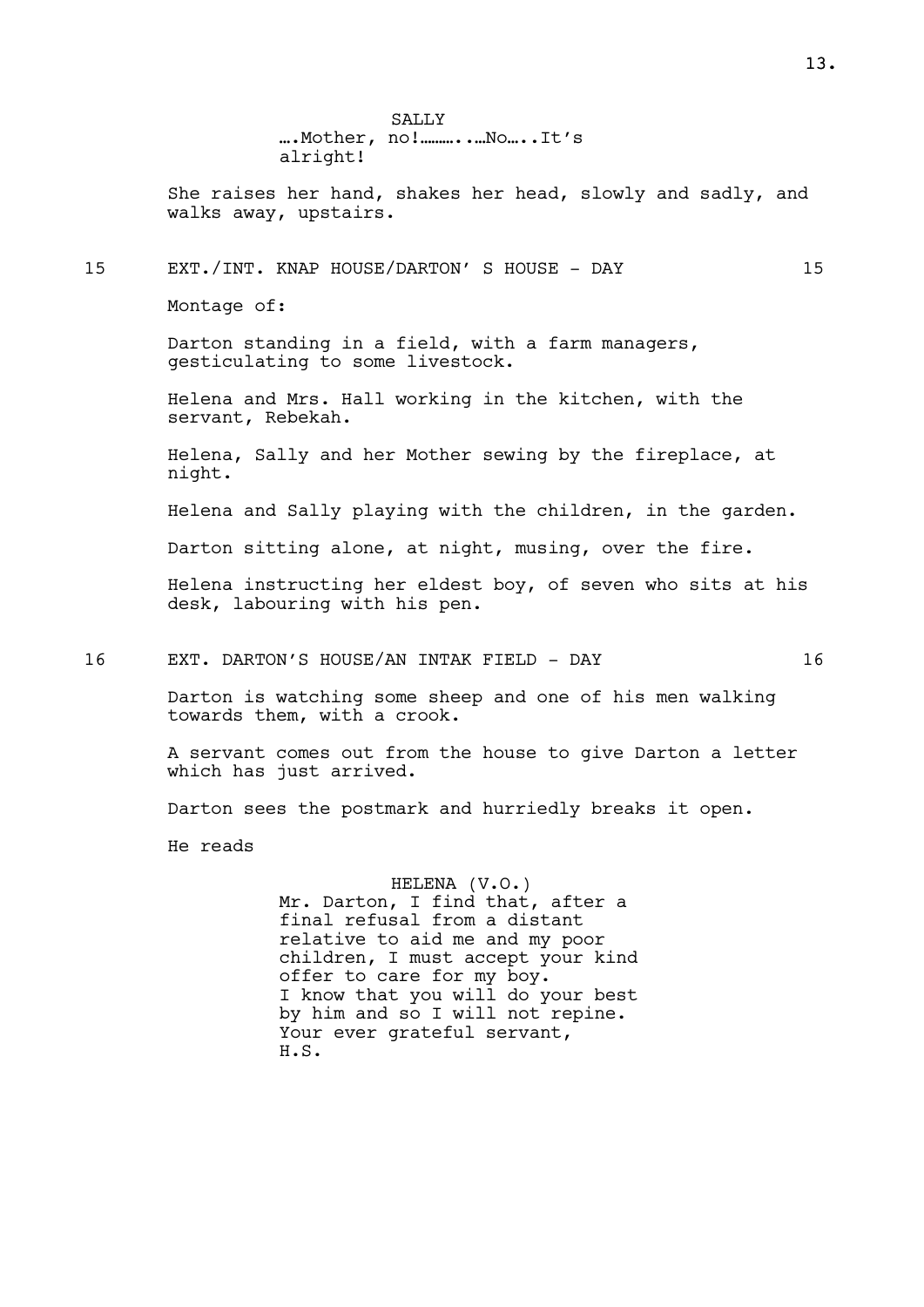SALLY ….Mother, no!………..…No…..It's alright!

She raises her hand, shakes her head, slowly and sadly, and walks away, upstairs.

### 15 EXT./INT. KNAP HOUSE/DARTON' S HOUSE - DAY 15

Montage of:

Darton standing in a field, with a farm managers, gesticulating to some livestock.

Helena and Mrs. Hall working in the kitchen, with the servant, Rebekah.

Helena, Sally and her Mother sewing by the fireplace, at night.

Helena and Sally playing with the children, in the garden.

Darton sitting alone, at night, musing, over the fire.

Helena instructing her eldest boy, of seven who sits at his desk, labouring with his pen.

16 EXT. DARTON'S HOUSE/AN INTAK FIELD - DAY 16

Darton is watching some sheep and one of his men walking towards them, with a crook.

A servant comes out from the house to give Darton a letter which has just arrived.

Darton sees the postmark and hurriedly breaks it open.

He reads

HELENA (V.O.) Mr. Darton, I find that, after a final refusal from a distant relative to aid me and my poor children, I must accept your kind offer to care for my boy. I know that you will do your best by him and so I will not repine. Your ever grateful servant, H.S.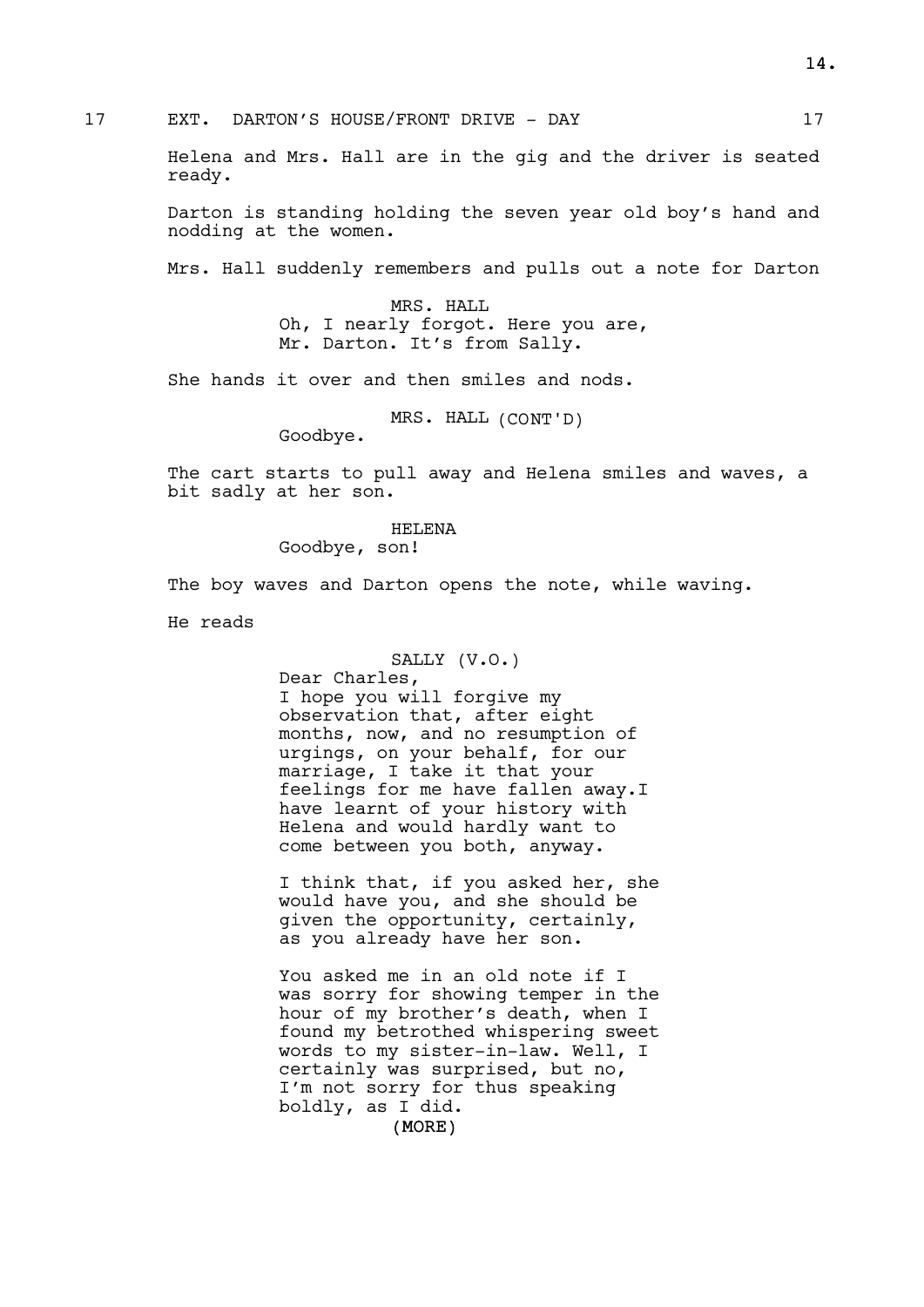Helena and Mrs. Hall are in the gig and the driver is seated ready.

Darton is standing holding the seven year old boy's hand and nodding at the women.

Mrs. Hall suddenly remembers and pulls out a note for Darton

MRS. HALL Oh, I nearly forgot. Here you are, Mr. Darton. It's from Sally.

She hands it over and then smiles and nods.

MRS. HALL (CONT'D)

Goodbye.

The cart starts to pull away and Helena smiles and waves, a bit sadly at her son.

HELENA

Goodbye, son!

The boy waves and Darton opens the note, while waving.

He reads

### SALLY (V.O.)

Dear Charles, I hope you will forgive my observation that, after eight months, now, and no resumption of urgings, on your behalf, for our marriage, I take it that your feelings for me have fallen away.I have learnt of your history with Helena and would hardly want to come between you both, anyway.

I think that, if you asked her, she would have you, and she should be given the opportunity, certainly, as you already have her son.

You asked me in an old note if I was sorry for showing temper in the hour of my brother's death, when I found my betrothed whispering sweet words to my sister-in-law. Well, I certainly was surprised, but no, I'm not sorry for thus speaking boldly, as I did.

(MORE)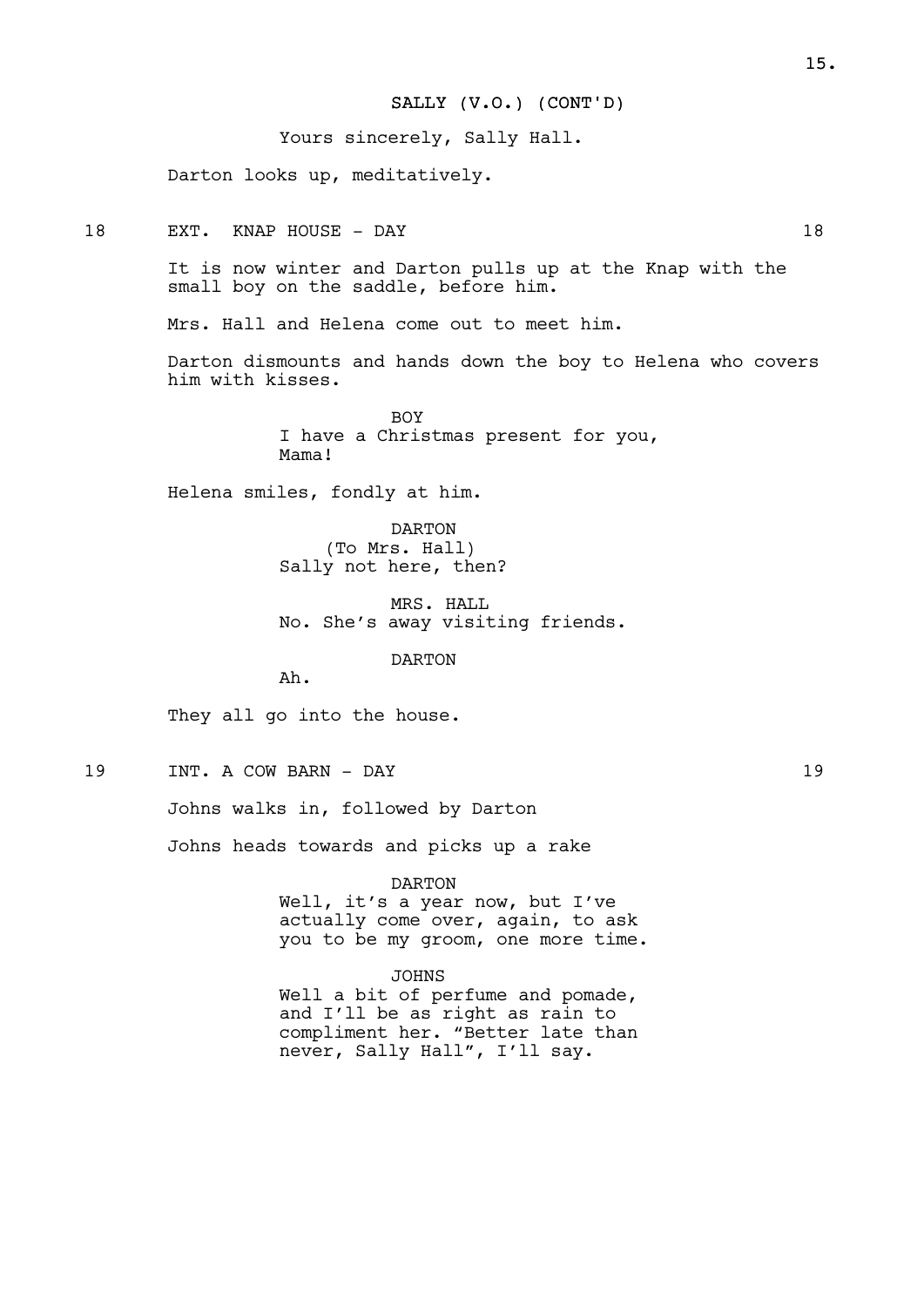### SALLY (V.O.) (CONT'D)

Yours sincerely, Sally Hall.

Darton looks up, meditatively.

18 EXT. KNAP HOUSE - DAY 18

It is now winter and Darton pulls up at the Knap with the small boy on the saddle, before him.

Mrs. Hall and Helena come out to meet him.

Darton dismounts and hands down the boy to Helena who covers him with kisses.

> BOY I have a Christmas present for you, Mama!

Helena smiles, fondly at him.

DARTON (To Mrs. Hall) Sally not here, then?

MRS. HALL No. She's away visiting friends.

DARTON

Ah.

They all go into the house.

19 INT. A COW BARN - DAY 19

Johns walks in, followed by Darton

Johns heads towards and picks up a rake

DARTON

Well, it's a year now, but I've actually come over, again, to ask you to be my groom, one more time.

JOHNS

Well a bit of perfume and pomade, and I'll be as right as rain to compliment her. "Better late than never, Sally Hall", I'll say.

15.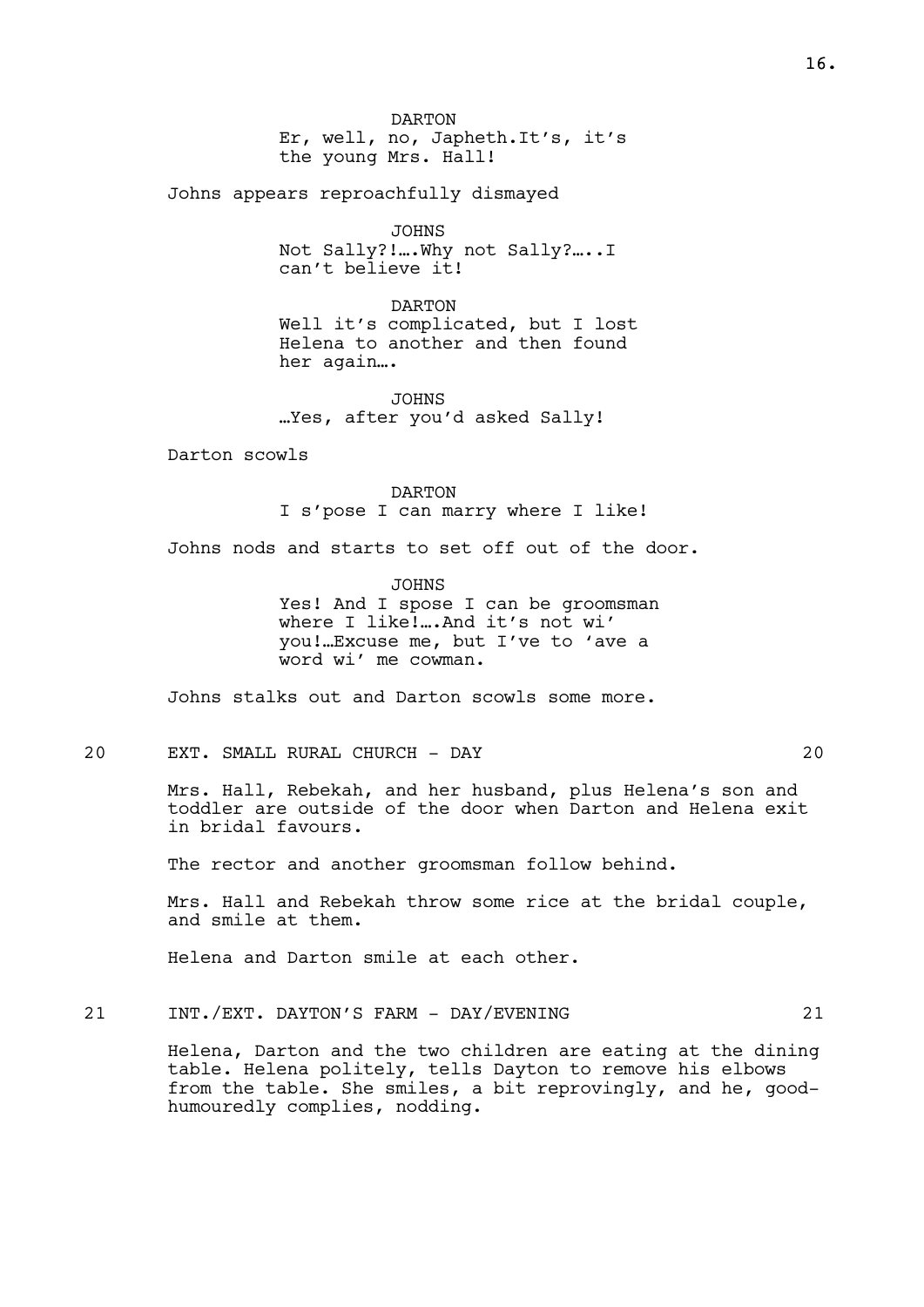DARTON Er, well, no, Japheth.It's, it's the young Mrs. Hall!

Johns appears reproachfully dismayed

JOHNS Not Sally?!….Why not Sally?…..I can't believe it!

DARTON Well it's complicated, but I lost Helena to another and then found her again….

JOHNS …Yes, after you'd asked Sally!

Darton scowls

DARTON I s'pose I can marry where I like!

Johns nods and starts to set off out of the door.

JOHNS Yes! And I spose I can be groomsman where I like!….And it's not wi' you!…Excuse me, but I've to 'ave a word wi' me cowman.

Johns stalks out and Darton scowls some more.

20 EXT. SMALL RURAL CHURCH - DAY 20

Mrs. Hall, Rebekah, and her husband, plus Helena's son and toddler are outside of the door when Darton and Helena exit in bridal favours.

The rector and another groomsman follow behind.

Mrs. Hall and Rebekah throw some rice at the bridal couple, and smile at them.

Helena and Darton smile at each other.

21 INT./EXT. DAYTON'S FARM - DAY/EVENING 21

Helena, Darton and the two children are eating at the dining table. Helena politely, tells Dayton to remove his elbows from the table. She smiles, a bit reprovingly, and he, goodhumouredly complies, nodding.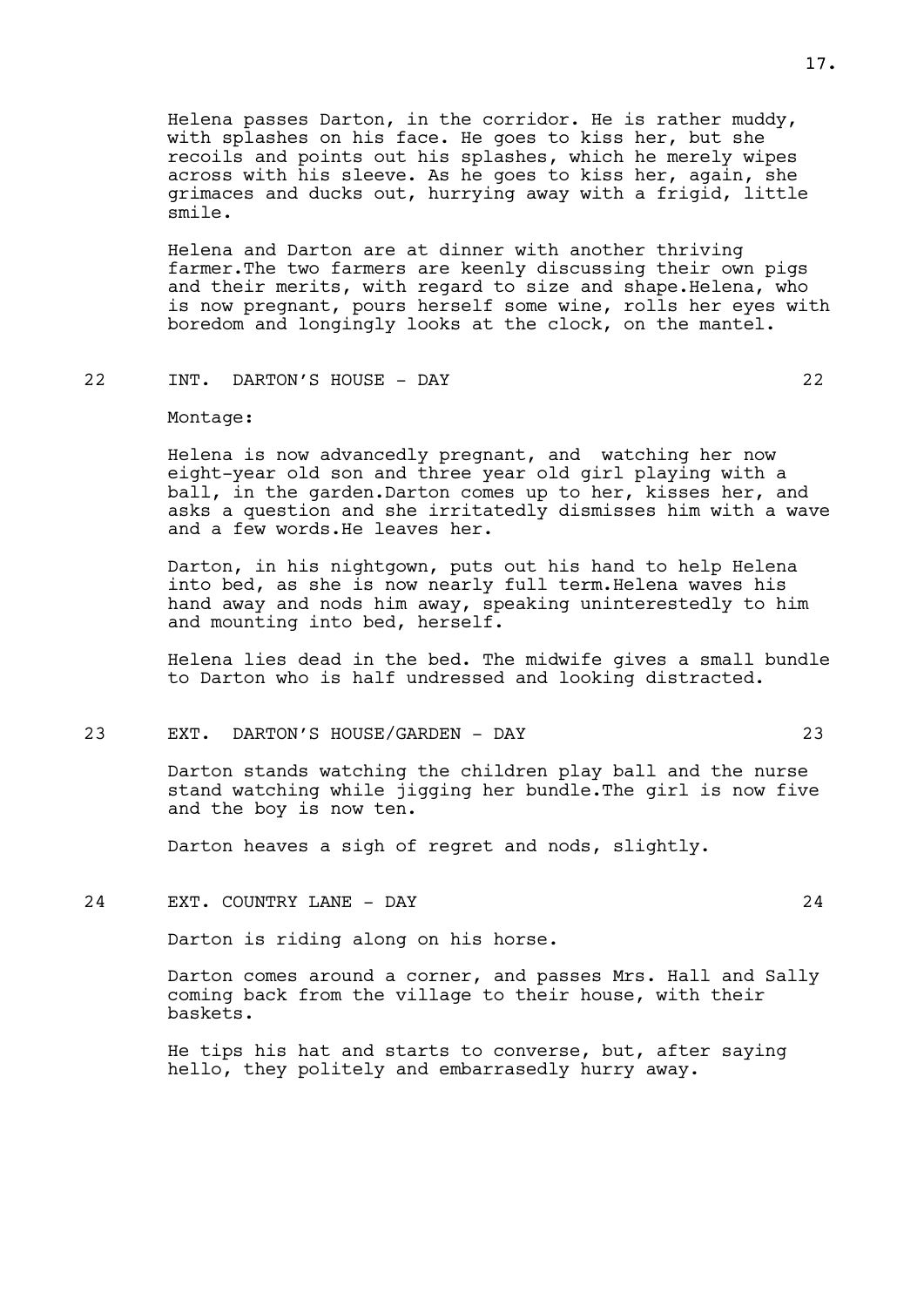Helena passes Darton, in the corridor. He is rather muddy, with splashes on his face. He goes to kiss her, but she recoils and points out his splashes, which he merely wipes across with his sleeve. As he goes to kiss her, again, she grimaces and ducks out, hurrying away with a frigid, little smile.

Helena and Darton are at dinner with another thriving farmer.The two farmers are keenly discussing their own pigs and their merits, with regard to size and shape.Helena, who is now pregnant, pours herself some wine, rolls her eyes with boredom and longingly looks at the clock, on the mantel.

### 22 INT. DARTON'S HOUSE - DAY 22

Montage:

Helena is now advancedly pregnant, and watching her now eight-year old son and three year old girl playing with a ball, in the garden.Darton comes up to her, kisses her, and asks a question and she irritatedly dismisses him with a wave and a few words.He leaves her.

Darton, in his nightgown, puts out his hand to help Helena into bed, as she is now nearly full term.Helena waves his hand away and nods him away, speaking uninterestedly to him and mounting into bed, herself.

Helena lies dead in the bed. The midwife gives a small bundle to Darton who is half undressed and looking distracted.

### 23 EXT. DARTON'S HOUSE/GARDEN - DAY 23

Darton stands watching the children play ball and the nurse stand watching while jigging her bundle.The girl is now five and the boy is now ten.

Darton heaves a sigh of regret and nods, slightly.

### 24 EXT. COUNTRY LANE - DAY 24

Darton is riding along on his horse.

Darton comes around a corner, and passes Mrs. Hall and Sally coming back from the village to their house, with their baskets.

He tips his hat and starts to converse, but, after saying hello, they politely and embarrasedly hurry away.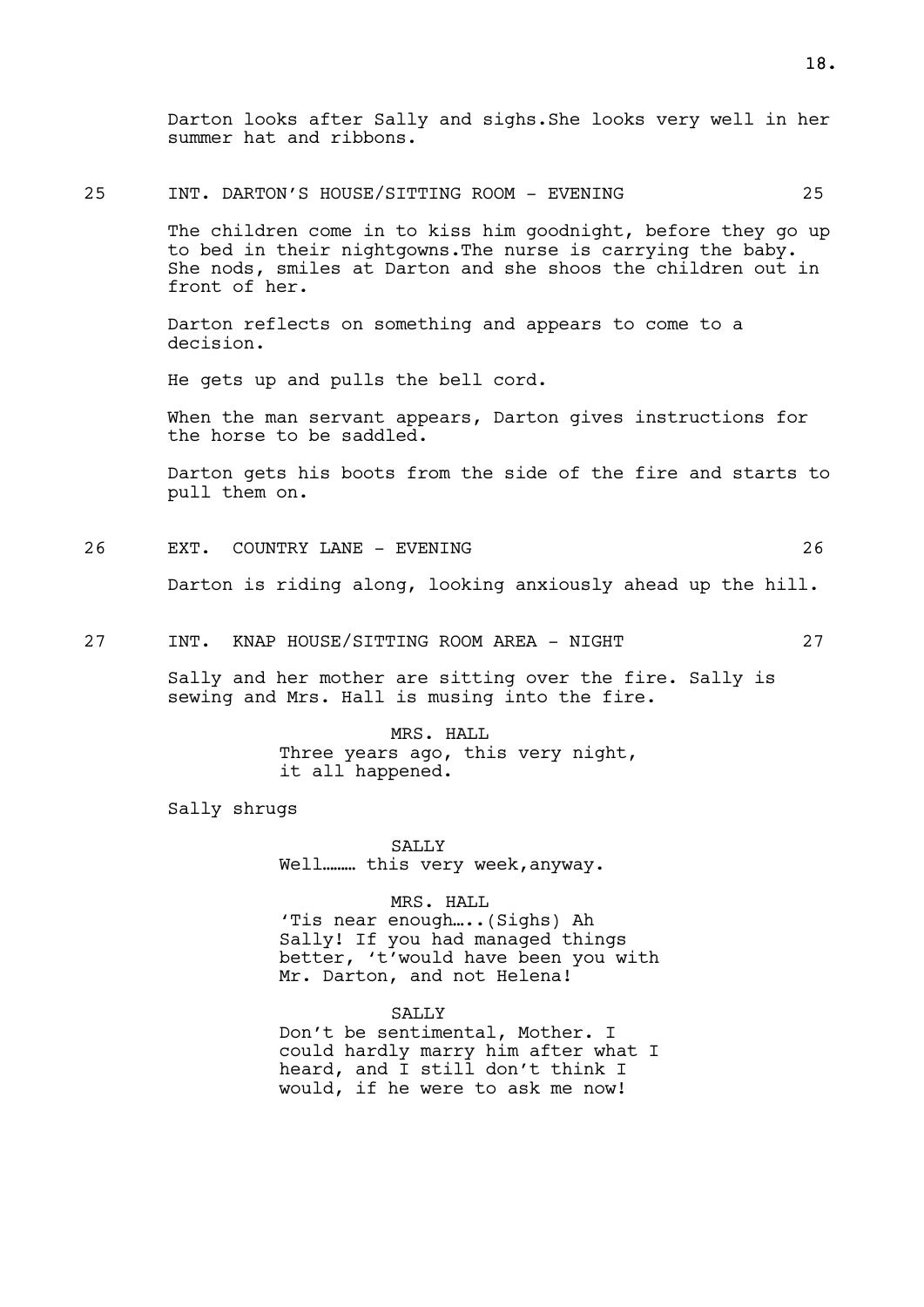Darton looks after Sally and sighs.She looks very well in her summer hat and ribbons.

#### 25 INT. DARTON'S HOUSE/SITTING ROOM - EVENING 25

The children come in to kiss him goodnight, before they go up to bed in their nightgowns.The nurse is carrying the baby. She nods, smiles at Darton and she shoos the children out in front of her.

Darton reflects on something and appears to come to a decision.

He gets up and pulls the bell cord.

When the man servant appears, Darton gives instructions for the horse to be saddled.

Darton gets his boots from the side of the fire and starts to pull them on.

26 EXT. COUNTRY LANE - EVENING 26

Darton is riding along, looking anxiously ahead up the hill.

27 INT. KNAP HOUSE/SITTING ROOM AREA - NIGHT 27

Sally and her mother are sitting over the fire. Sally is sewing and Mrs. Hall is musing into the fire.

> MRS. HALL Three years ago, this very night, it all happened.

Sally shrugs

**SALLY** Well……… this very week,anyway.

### MRS. HALL

'Tis near enough…..(Sighs) Ah Sally! If you had managed things better, 't'would have been you with Mr. Darton, and not Helena!

#### SALLY

Don't be sentimental, Mother. I could hardly marry him after what I heard, and I still don't think I would, if he were to ask me now!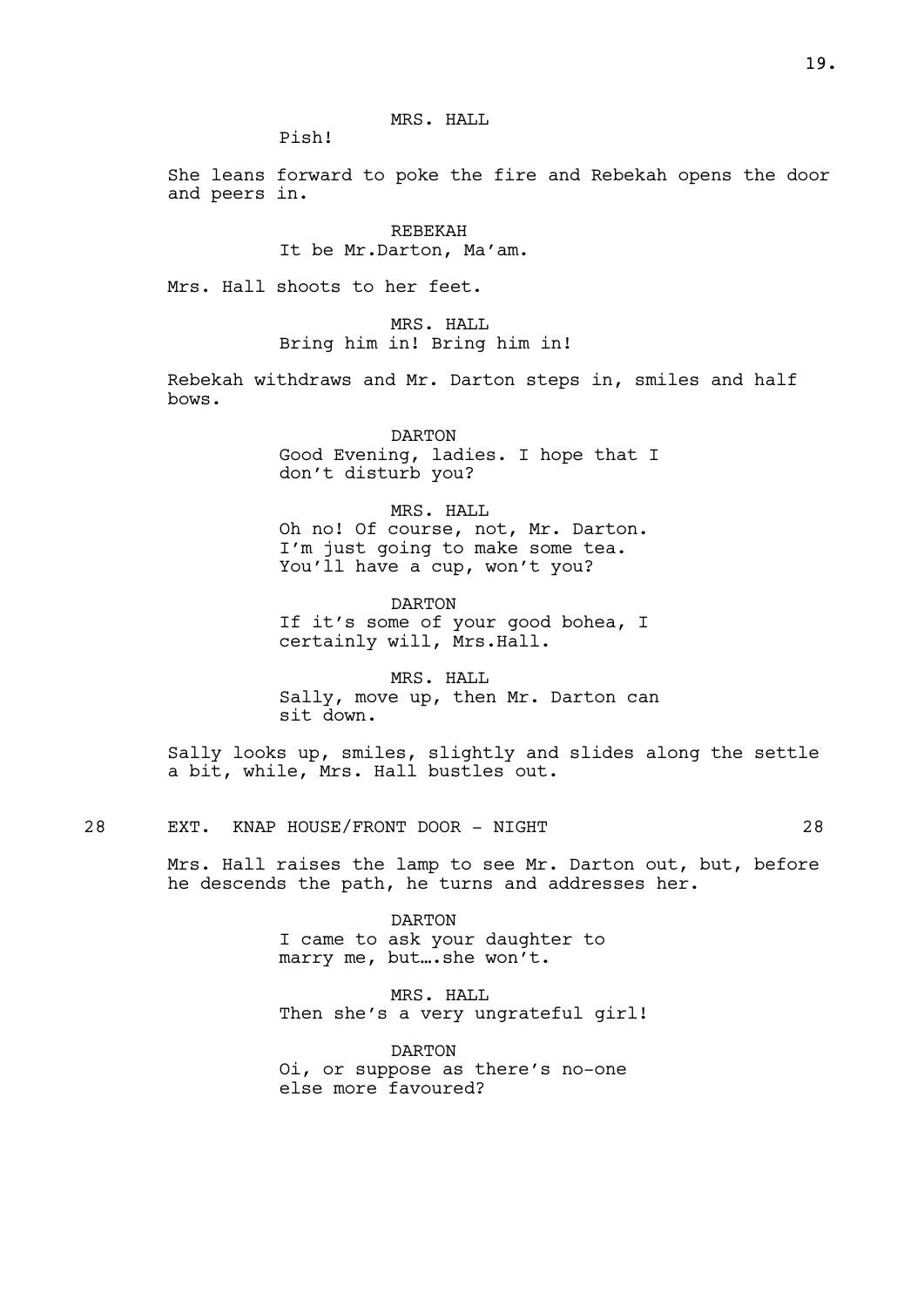MRS. HALL

Pish!

She leans forward to poke the fire and Rebekah opens the door and peers in.

> REBEKAH It be Mr.Darton, Ma'am.

Mrs. Hall shoots to her feet.

MRS. HALL Bring him in! Bring him in!

Rebekah withdraws and Mr. Darton steps in, smiles and half bows.

> DARTON Good Evening, ladies. I hope that I don't disturb you?

> > MRS. HALL

Oh no! Of course, not, Mr. Darton. I'm just going to make some tea. You'll have a cup, won't you?

DARTON If it's some of your good bohea, I certainly will, Mrs.Hall.

MRS. HALL Sally, move up, then Mr. Darton can sit down.

Sally looks up, smiles, slightly and slides along the settle a bit, while, Mrs. Hall bustles out.

28 EXT. KNAP HOUSE/FRONT DOOR - NIGHT 28

Mrs. Hall raises the lamp to see Mr. Darton out, but, before he descends the path, he turns and addresses her.

> DARTON I came to ask your daughter to marry me, but....she won't.

MRS. HALL Then she's a very ungrateful girl!

DARTON Oi, or suppose as there's no-one else more favoured?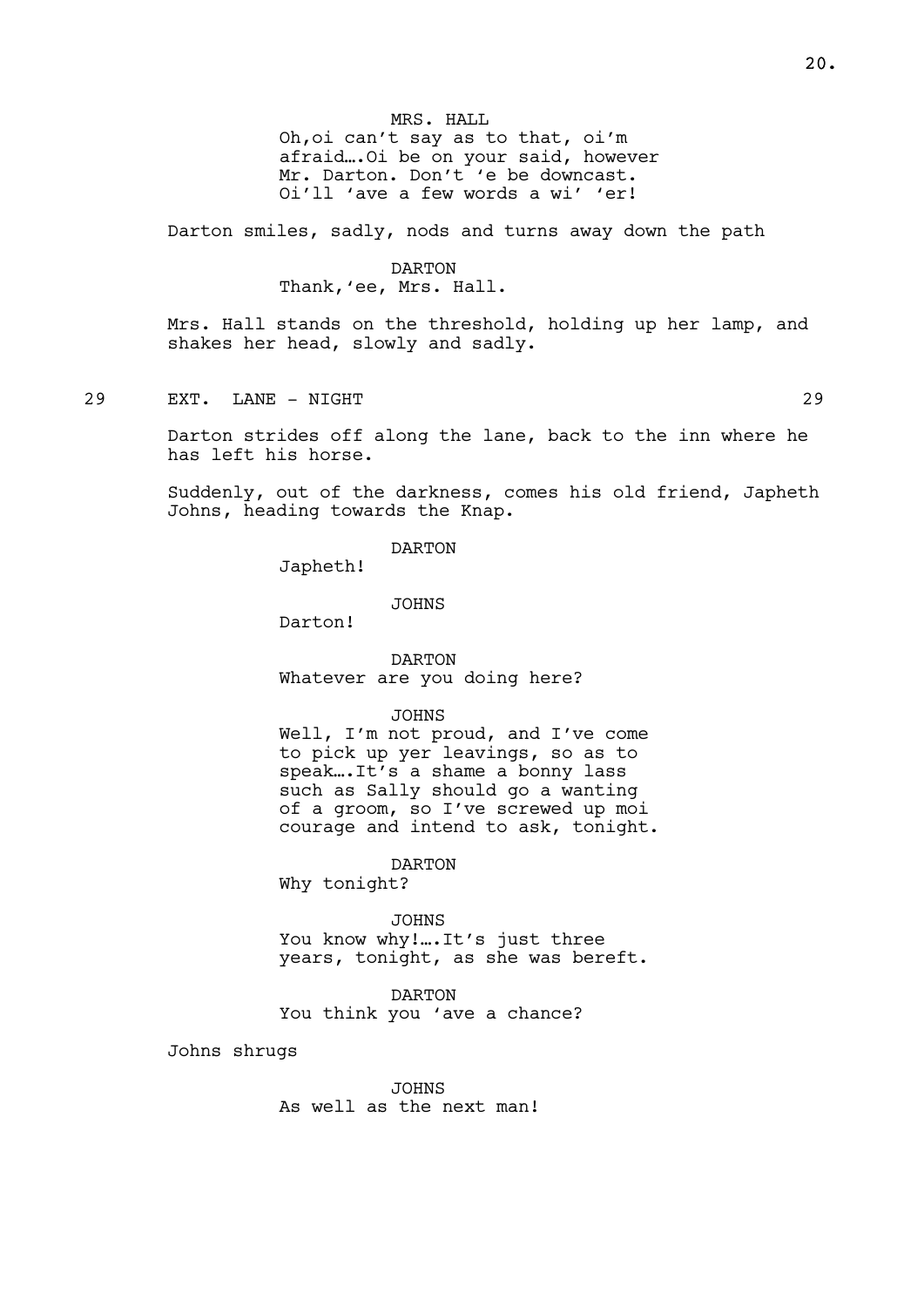MRS. HALL Oh,oi can't say as to that, oi'm afraid….Oi be on your said, however Mr. Darton. Don't 'e be downcast. Oi'll 'ave a few words a wi' 'er!

Darton smiles, sadly, nods and turns away down the path

#### DARTON

## Thank,'ee, Mrs. Hall.

Mrs. Hall stands on the threshold, holding up her lamp, and shakes her head, slowly and sadly.

29 EXT. LANE - NIGHT 29

Darton strides off along the lane, back to the inn where he has left his horse.

Suddenly, out of the darkness, comes his old friend, Japheth Johns, heading towards the Knap.

DARTON

Japheth!

JOHNS

Darton!

DARTON Whatever are you doing here?

JOHNS

Well, I'm not proud, and I've come to pick up yer leavings, so as to speak….It's a shame a bonny lass such as Sally should go a wanting of a groom, so I've screwed up moi courage and intend to ask, tonight.

DARTON

Why tonight?

JOHNS You know why!.... It's just three years, tonight, as she was bereft.

DARTON You think you 'ave a chance?

Johns shrugs

JOHNS As well as the next man!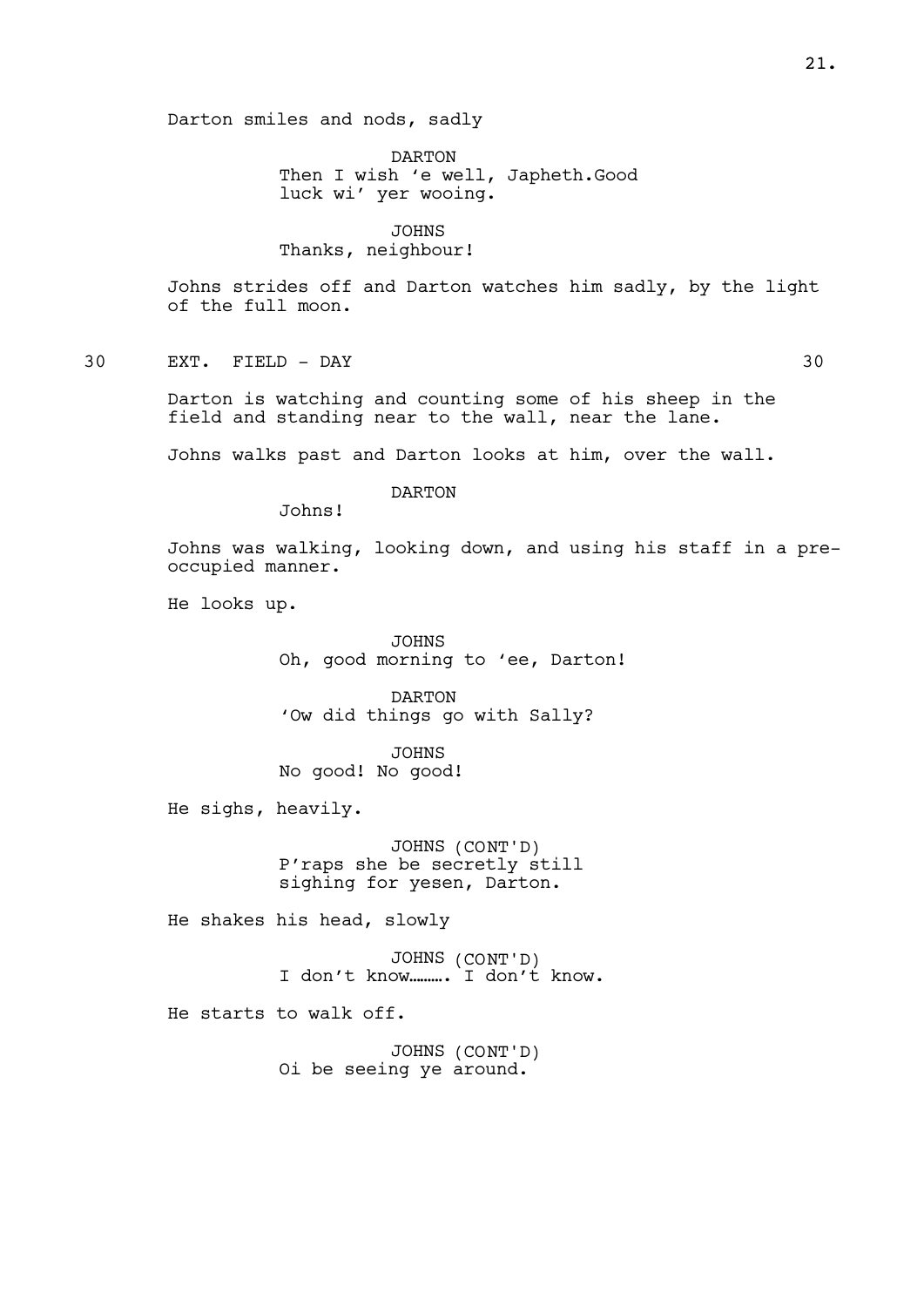DARTON Then I wish 'e well, Japheth.Good luck wi' yer wooing.

JOHNS

# Thanks, neighbour!

Johns strides off and Darton watches him sadly, by the light of the full moon.

30 EXT. FIELD - DAY 30

Darton is watching and counting some of his sheep in the field and standing near to the wall, near the lane.

Johns walks past and Darton looks at him, over the wall.

DARTON

Johns!

Johns was walking, looking down, and using his staff in a preoccupied manner.

He looks up.

JOHNS Oh, good morning to 'ee, Darton!

DARTON 'Ow did things go with Sally?

JOHNS No good! No good!

He sighs, heavily.

JOHNS (CONT'D) P'raps she be secretly still sighing for yesen, Darton.

He shakes his head, slowly

JOHNS (CONT'D) I don't know………. I don't know.

He starts to walk off.

JOHNS (CONT'D) Oi be seeing ye around.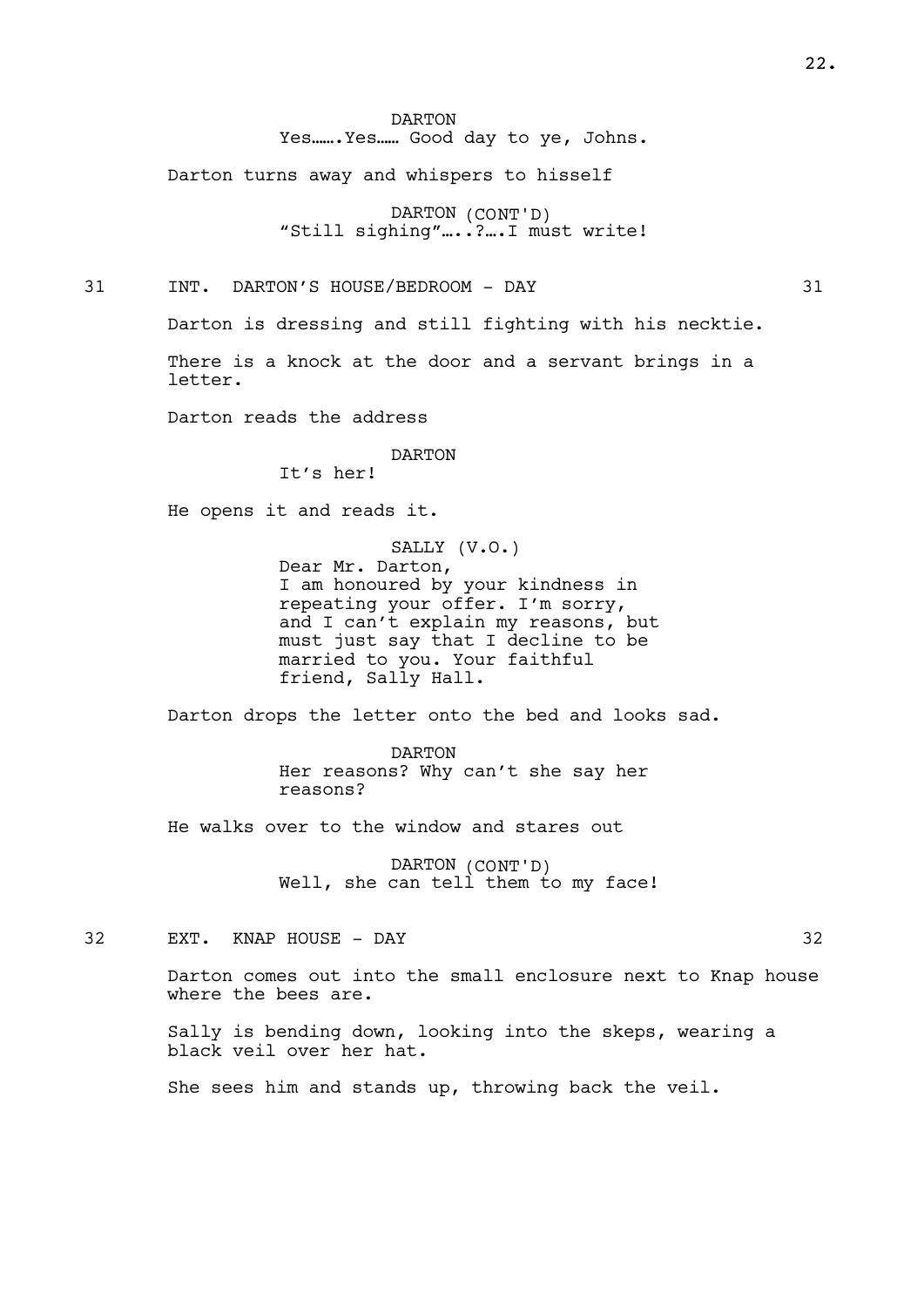DARTON Yes…….Yes…… Good day to ye, Johns.

Darton turns away and whispers to hisself

DARTON (CONT'D) "Still sighing"....?...I must write!

31 INT. DARTON'S HOUSE/BEDROOM - DAY 31

Darton is dressing and still fighting with his necktie.

There is a knock at the door and a servant brings in a letter.

Darton reads the address

DARTON

It's her!

He opens it and reads it.

SALLY (V.O.) Dear Mr. Darton, I am honoured by your kindness in repeating your offer. I'm sorry, and I can't explain my reasons, but must just say that I decline to be married to you. Your faithful friend, Sally Hall.

Darton drops the letter onto the bed and looks sad.

DARTON Her reasons? Why can't she say her reasons?

He walks over to the window and stares out

DARTON (CONT'D) Well, she can tell them to my face!

32 EXT. KNAP HOUSE - DAY 32

Darton comes out into the small enclosure next to Knap house where the bees are.

Sally is bending down, looking into the skeps, wearing a black veil over her hat.

She sees him and stands up, throwing back the veil.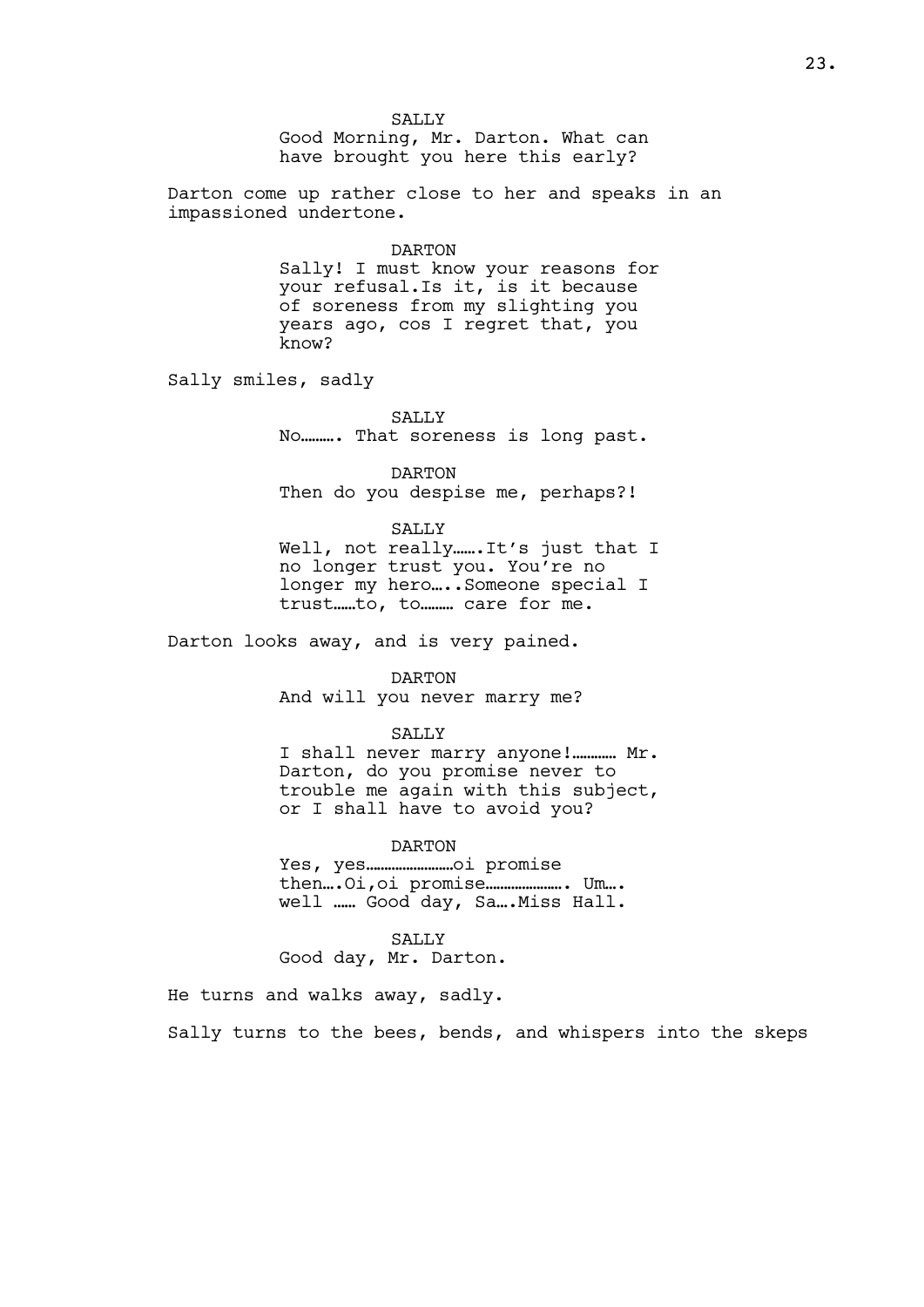SALLY Good Morning, Mr. Darton. What can have brought you here this early?

Darton come up rather close to her and speaks in an impassioned undertone.

#### DARTON

Sally! I must know your reasons for your refusal.Is it, is it because of soreness from my slighting you years ago, cos I regret that, you know?

Sally smiles, sadly

SALLY No………. That soreness is long past.

DARTON Then do you despise me, perhaps?!

SALLY

Well, not really…….It's just that I no longer trust you. You're no longer my hero....Someone special I trust……to, to……… care for me.

Darton looks away, and is very pained.

DARTON

And will you never marry me?

#### SALLY

I shall never marry anyone!………… Mr. Darton, do you promise never to trouble me again with this subject, or I shall have to avoid you?

#### DARTON

Yes, yes……………………oi promise then….Oi,oi promise…………………. Um…. well …… Good day, Sa….Miss Hall.

SALLY

Good day, Mr. Darton.

He turns and walks away, sadly.

Sally turns to the bees, bends, and whispers into the skeps